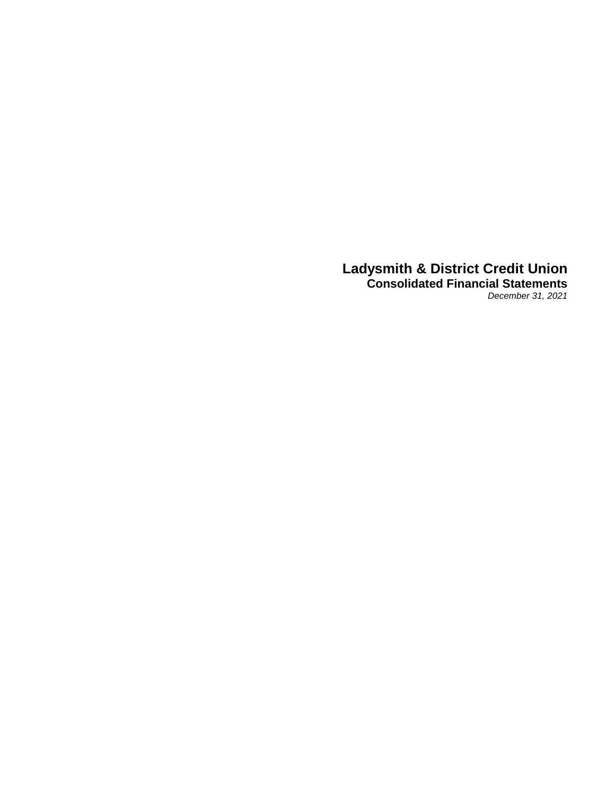# **Ladysmith & District Credit Union Consolidated Financial Statements** *December 31, 2021*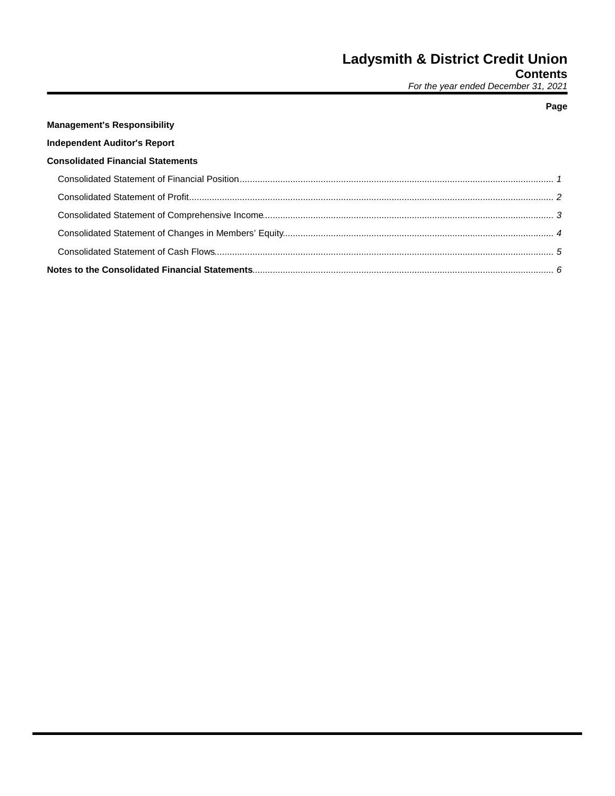**Contents**<br>For the year ended December 31, 2021

| <b>Management's Responsibility</b>       |  |
|------------------------------------------|--|
| <b>Independent Auditor's Report</b>      |  |
| <b>Consolidated Financial Statements</b> |  |
|                                          |  |
|                                          |  |
|                                          |  |
|                                          |  |
|                                          |  |
|                                          |  |

# Page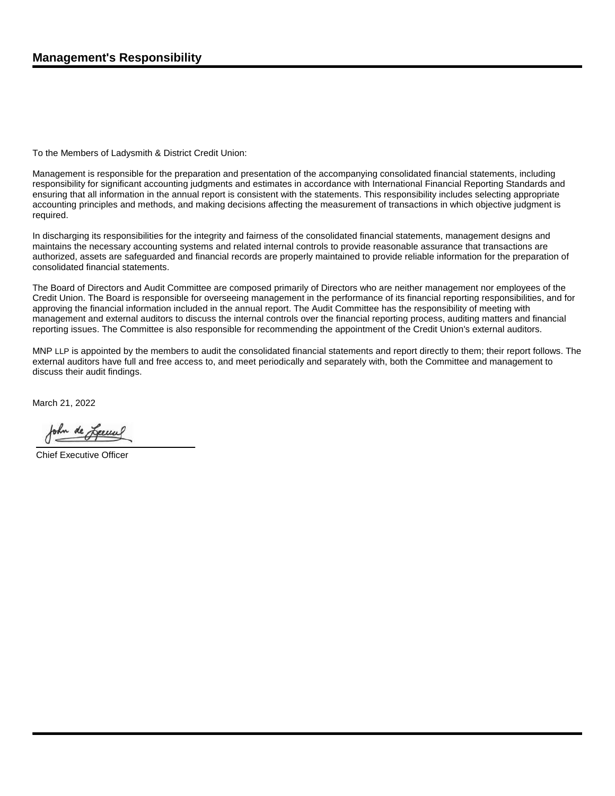To the Members of Ladysmith & District Credit Union:

Management is responsible for the preparation and presentation of the accompanying consolidated financial statements, including responsibility for significant accounting judgments and estimates in accordance with International Financial Reporting Standards and ensuring that all information in the annual report is consistent with the statements. This responsibility includes selecting appropriate accounting principles and methods, and making decisions affecting the measurement of transactions in which objective judgment is required.

In discharging its responsibilities for the integrity and fairness of the consolidated financial statements, management designs and maintains the necessary accounting systems and related internal controls to provide reasonable assurance that transactions are authorized, assets are safeguarded and financial records are properly maintained to provide reliable information for the preparation of consolidated financial statements.

The Board of Directors and Audit Committee are composed primarily of Directors who are neither management nor employees of the Credit Union. The Board is responsible for overseeing management in the performance of its financial reporting responsibilities, and for approving the financial information included in the annual report. The Audit Committee has the responsibility of meeting with management and external auditors to discuss the internal controls over the financial reporting process, auditing matters and financial reporting issues. The Committee is also responsible for recommending the appointment of the Credit Union's external auditors.

MNP LLP is appointed by the members to audit the consolidated financial statements and report directly to them; their report follows. The external auditors have full and free access to, and meet periodically and separately with, both the Committee and management to discuss their audit findings.

March 21, 2022

ohn de Leeuw

Chief Executive Officer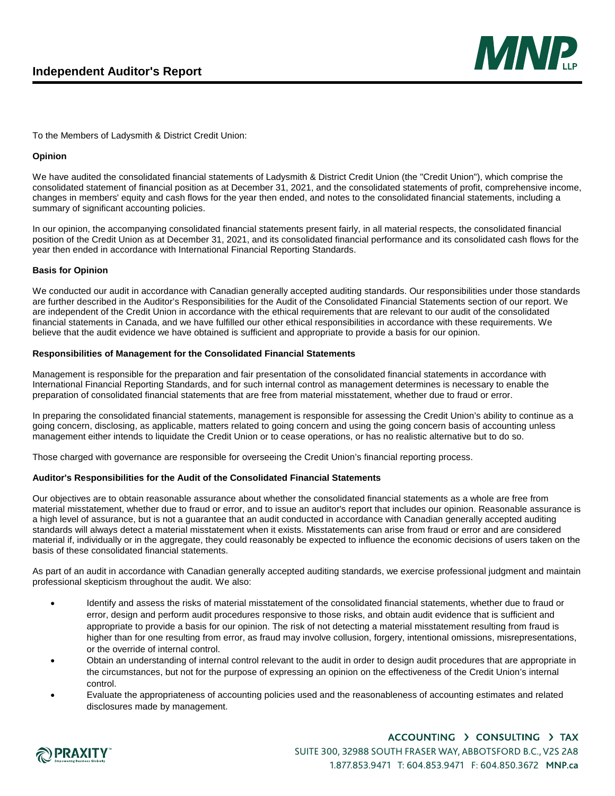

To the Members of Ladysmith & District Credit Union:

# **Opinion**

We have audited the consolidated financial statements of Ladysmith & District Credit Union (the "Credit Union"), which comprise the consolidated statement of financial position as at December 31, 2021, and the consolidated statements of profit, comprehensive income, changes in members' equity and cash flows for the year then ended, and notes to the consolidated financial statements, including a summary of significant accounting policies.

In our opinion, the accompanying consolidated financial statements present fairly, in all material respects, the consolidated financial position of the Credit Union as at December 31, 2021, and its consolidated financial performance and its consolidated cash flows for the year then ended in accordance with International Financial Reporting Standards.

# **Basis for Opinion**

We conducted our audit in accordance with Canadian generally accepted auditing standards. Our responsibilities under those standards are further described in the Auditor's Responsibilities for the Audit of the Consolidated Financial Statements section of our report. We are independent of the Credit Union in accordance with the ethical requirements that are relevant to our audit of the consolidated financial statements in Canada, and we have fulfilled our other ethical responsibilities in accordance with these requirements. We believe that the audit evidence we have obtained is sufficient and appropriate to provide a basis for our opinion.

# **Responsibilities of Management for the Consolidated Financial Statements**

Management is responsible for the preparation and fair presentation of the consolidated financial statements in accordance with International Financial Reporting Standards, and for such internal control as management determines is necessary to enable the preparation of consolidated financial statements that are free from material misstatement, whether due to fraud or error.

In preparing the consolidated financial statements, management is responsible for assessing the Credit Union's ability to continue as a going concern, disclosing, as applicable, matters related to going concern and using the going concern basis of accounting unless management either intends to liquidate the Credit Union or to cease operations, or has no realistic alternative but to do so.

Those charged with governance are responsible for overseeing the Credit Union's financial reporting process.

# **Auditor's Responsibilities for the Audit of the Consolidated Financial Statements**

Our objectives are to obtain reasonable assurance about whether the consolidated financial statements as a whole are free from material misstatement, whether due to fraud or error, and to issue an auditor's report that includes our opinion. Reasonable assurance is a high level of assurance, but is not a guarantee that an audit conducted in accordance with Canadian generally accepted auditing standards will always detect a material misstatement when it exists. Misstatements can arise from fraud or error and are considered material if, individually or in the aggregate, they could reasonably be expected to influence the economic decisions of users taken on the basis of these consolidated financial statements.

As part of an audit in accordance with Canadian generally accepted auditing standards, we exercise professional judgment and maintain professional skepticism throughout the audit. We also:

- Identify and assess the risks of material misstatement of the consolidated financial statements, whether due to fraud or error, design and perform audit procedures responsive to those risks, and obtain audit evidence that is sufficient and appropriate to provide a basis for our opinion. The risk of not detecting a material misstatement resulting from fraud is higher than for one resulting from error, as fraud may involve collusion, forgery, intentional omissions, misrepresentations, or the override of internal control.
- Obtain an understanding of internal control relevant to the audit in order to design audit procedures that are appropriate in the circumstances, but not for the purpose of expressing an opinion on the effectiveness of the Credit Union's internal control.
- Evaluate the appropriateness of accounting policies used and the reasonableness of accounting estimates and related disclosures made by management.



ACCOUNTING > CONSULTING > TAX SUITE 300, 32988 SOUTH FRASER WAY, ABBOTSFORD B.C., V2S 2A8 1.877.853.9471 T: 604.853.9471 F: 604.850.3672 **MNP.ca**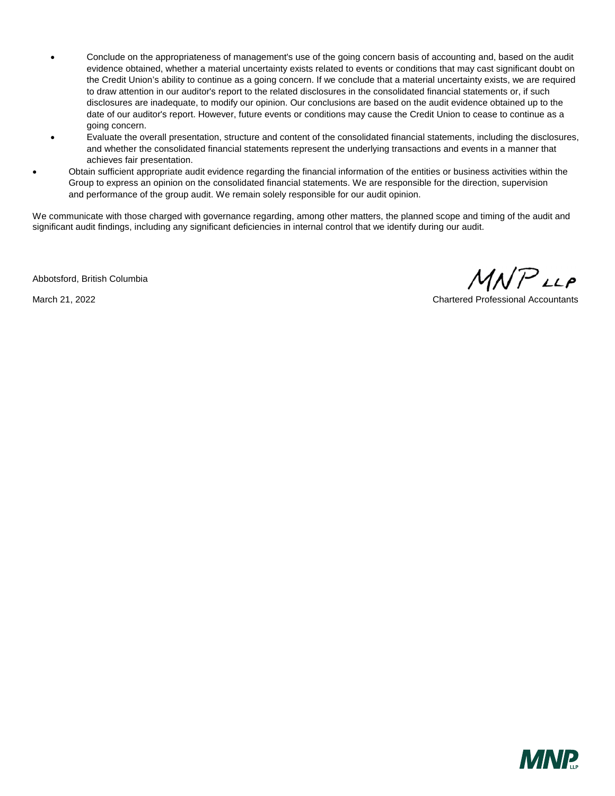- Conclude on the appropriateness of management's use of the going concern basis of accounting and, based on the audit evidence obtained, whether a material uncertainty exists related to events or conditions that may cast significant doubt on the Credit Union's ability to continue as a going concern. If we conclude that a material uncertainty exists, we are required to draw attention in our auditor's report to the related disclosures in the consolidated financial statements or, if such disclosures are inadequate, to modify our opinion. Our conclusions are based on the audit evidence obtained up to the date of our auditor's report. However, future events or conditions may cause the Credit Union to cease to continue as a going concern.
- Evaluate the overall presentation, structure and content of the consolidated financial statements, including the disclosures, and whether the consolidated financial statements represent the underlying transactions and events in a manner that achieves fair presentation.
- Obtain sufficient appropriate audit evidence regarding the financial information of the entities or business activities within the Group to express an opinion on the consolidated financial statements. We are responsible for the direction, supervision and performance of the group audit. We remain solely responsible for our audit opinion.

We communicate with those charged with governance regarding, among other matters, the planned scope and timing of the audit and significant audit findings, including any significant deficiencies in internal control that we identify during our audit.

Abbotsford, British Columbia

 $MNP$ LLP

March 21, 2022 Chartered Professional Accountants

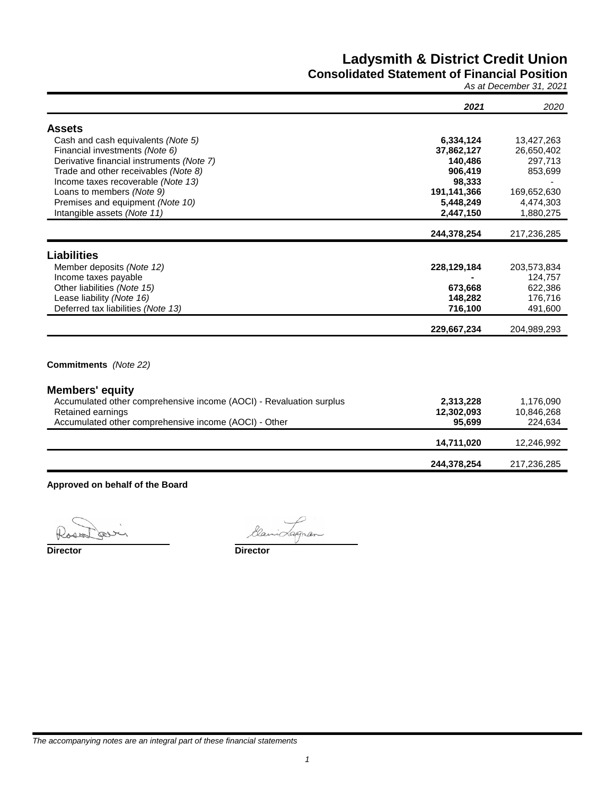# **Consolidated Statement of Financial Position**

*As at December 31, 2021*

|                                                                     | 2021        | 2020        |
|---------------------------------------------------------------------|-------------|-------------|
| <b>Assets</b>                                                       |             |             |
| Cash and cash equivalents (Note 5)                                  | 6,334,124   | 13,427,263  |
| Financial investments (Note 6)                                      | 37,862,127  | 26,650,402  |
| Derivative financial instruments (Note 7)                           | 140,486     | 297,713     |
| Trade and other receivables (Note 8)                                | 906,419     | 853,699     |
| Income taxes recoverable (Note 13)                                  | 98.333      |             |
| Loans to members (Note 9)                                           | 191,141,366 | 169,652,630 |
| Premises and equipment (Note 10)                                    | 5,448,249   | 4,474,303   |
| Intangible assets (Note 11)                                         | 2,447,150   | 1,880,275   |
|                                                                     | 244,378,254 | 217,236,285 |
| <b>Liabilities</b>                                                  |             |             |
| Member deposits (Note 12)                                           | 228,129,184 | 203,573,834 |
| Income taxes payable                                                |             | 124,757     |
| Other liabilities (Note 15)                                         | 673,668     | 622,386     |
| Lease liability (Note 16)                                           | 148,282     | 176,716     |
| Deferred tax liabilities (Note 13)                                  | 716,100     | 491,600     |
|                                                                     | 229,667,234 | 204,989,293 |
| <b>Commitments</b> (Note 22)                                        |             |             |
| <b>Members' equity</b>                                              |             |             |
| Accumulated other comprehensive income (AOCI) - Revaluation surplus | 2,313,228   | 1,176,090   |
| Retained earnings                                                   | 12,302,093  | 10,846,268  |
| Accumulated other comprehensive income (AOCI) - Other               | 95,699      | 224,634     |
|                                                                     | 14,711,020  | 12,246,992  |
|                                                                     | 244,378,254 | 217,236,285 |

# **Approved on behalf of the Board**

au

T<br>appran

**Director Director**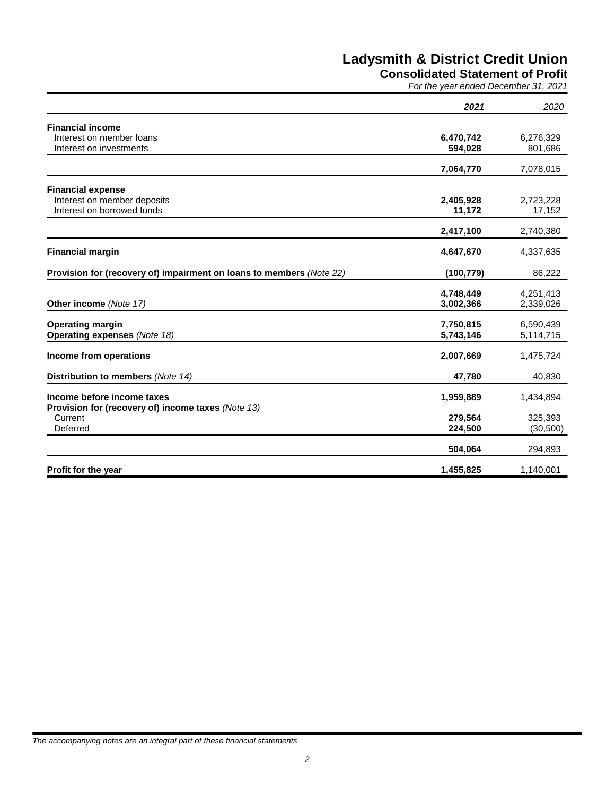**Consolidated Statement of Profit**

*For the year ended December 31, 2021*

|                                                                      | 2021       | 2020      |
|----------------------------------------------------------------------|------------|-----------|
| <b>Financial income</b>                                              |            |           |
| Interest on member loans                                             | 6,470,742  | 6,276,329 |
| Interest on investments                                              | 594,028    | 801,686   |
|                                                                      |            |           |
|                                                                      | 7,064,770  | 7,078,015 |
| <b>Financial expense</b>                                             |            |           |
| Interest on member deposits                                          | 2,405,928  | 2,723,228 |
| Interest on borrowed funds                                           | 11,172     | 17,152    |
|                                                                      |            |           |
|                                                                      | 2,417,100  | 2,740,380 |
| <b>Financial margin</b>                                              | 4,647,670  | 4,337,635 |
|                                                                      |            |           |
| Provision for (recovery of) impairment on loans to members (Note 22) | (100, 779) | 86,222    |
|                                                                      | 4,748,449  | 4,251,413 |
| Other income (Note 17)                                               | 3,002,366  | 2,339,026 |
| <b>Operating margin</b>                                              | 7,750,815  | 6,590,439 |
| <b>Operating expenses (Note 18)</b>                                  | 5,743,146  | 5,114,715 |
| Income from operations                                               | 2,007,669  | 1,475,724 |
| Distribution to members (Note 14)                                    | 47,780     | 40,830    |
| Income before income taxes                                           | 1,959,889  | 1,434,894 |
| Provision for (recovery of) income taxes (Note 13)                   |            |           |
| Current                                                              | 279,564    | 325,393   |
| Deferred                                                             | 224,500    | (30, 500) |
|                                                                      |            |           |
|                                                                      | 504,064    | 294,893   |
| Profit for the year                                                  | 1,455,825  | 1,140,001 |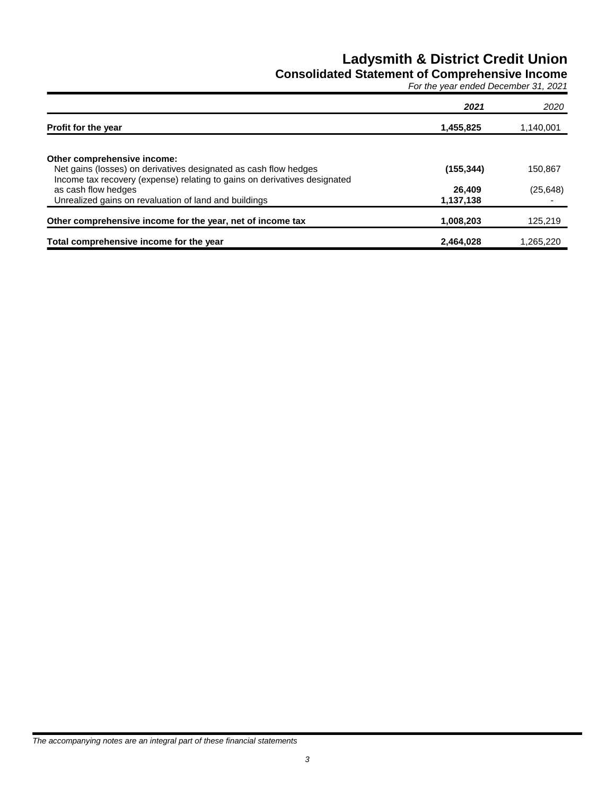**Consolidated Statement of Comprehensive Income**

*For the year ended December 31, 2021*

|                                                                                                  | 2021       | 2020      |
|--------------------------------------------------------------------------------------------------|------------|-----------|
| <b>Profit for the year</b>                                                                       | 1,455,825  | 1,140,001 |
| Other comprehensive income:                                                                      |            |           |
| Net gains (losses) on derivatives designated as cash flow hedges                                 | (155, 344) | 150,867   |
| Income tax recovery (expense) relating to gains on derivatives designated<br>as cash flow hedges | 26.409     | (25, 648) |
| Unrealized gains on revaluation of land and buildings                                            | 1,137,138  |           |
| Other comprehensive income for the year, net of income tax                                       | 1,008,203  | 125,219   |
| Total comprehensive income for the year                                                          | 2,464,028  | 1.265.220 |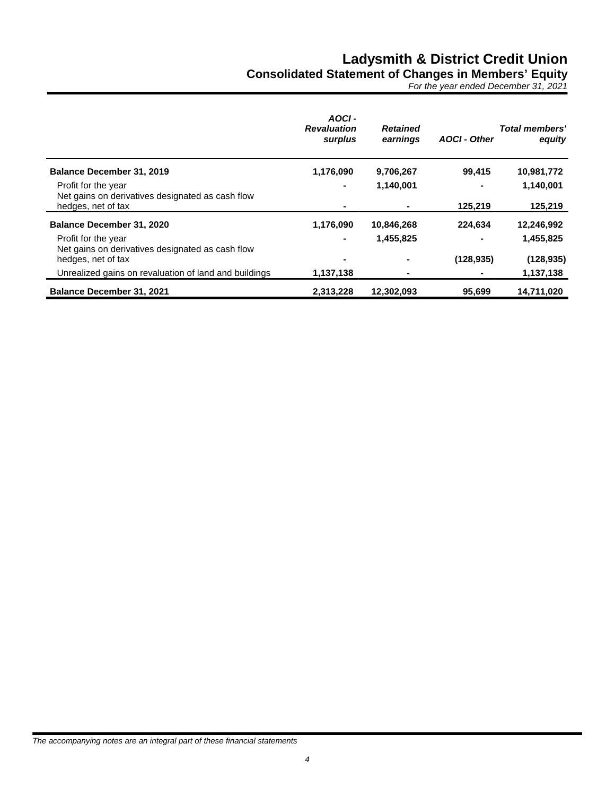**Consolidated Statement of Changes in Members' Equity**

*For the year ended December 31, 2021*

|                                                                        | AOCI-<br><b>Revaluation</b><br>surplus | <b>Retained</b><br>earnings | <b>AOCI - Other</b> | <b>Total members'</b><br>equity |
|------------------------------------------------------------------------|----------------------------------------|-----------------------------|---------------------|---------------------------------|
| <b>Balance December 31, 2019</b>                                       | 1,176,090                              | 9,706,267                   | 99,415              | 10,981,772                      |
| Profit for the year                                                    |                                        | 1,140,001                   | ۰                   | 1,140,001                       |
| Net gains on derivatives designated as cash flow<br>hedges, net of tax |                                        |                             | 125,219             | 125,219                         |
| <b>Balance December 31, 2020</b>                                       | 1,176,090                              | 10,846,268                  | 224,634             | 12,246,992                      |
| Profit for the year                                                    |                                        | 1,455,825                   |                     | 1,455,825                       |
| Net gains on derivatives designated as cash flow<br>hedges, net of tax |                                        |                             | (128, 935)          | (128, 935)                      |
| Unrealized gains on revaluation of land and buildings                  | 1,137,138                              |                             |                     | 1,137,138                       |
| <b>Balance December 31, 2021</b>                                       | 2,313,228                              | 12,302,093                  | 95,699              | 14,711,020                      |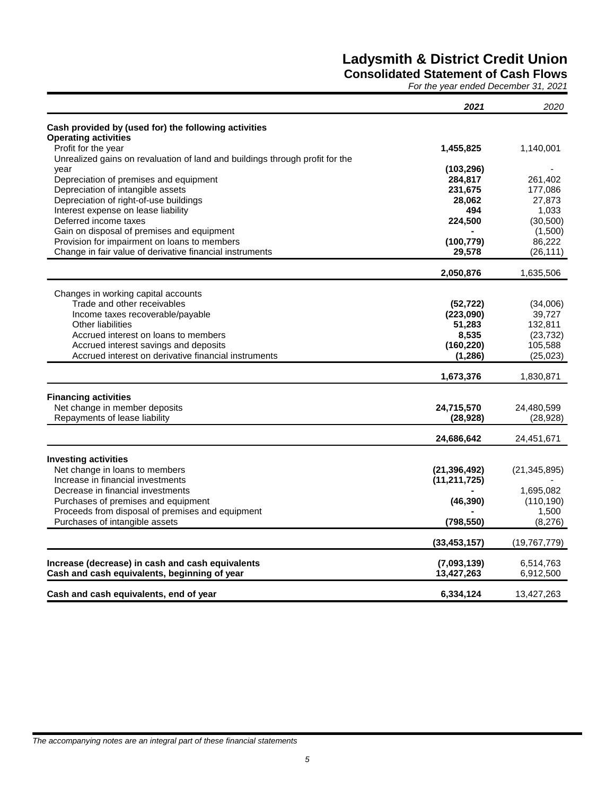# **Consolidated Statement of Cash Flows**

*For the year ended December 31, 2021*

|                                                                              | 2021           | 2020           |
|------------------------------------------------------------------------------|----------------|----------------|
| Cash provided by (used for) the following activities                         |                |                |
| <b>Operating activities</b>                                                  |                |                |
| Profit for the year                                                          | 1,455,825      | 1,140,001      |
| Unrealized gains on revaluation of land and buildings through profit for the |                |                |
| year                                                                         | (103, 296)     |                |
| Depreciation of premises and equipment                                       | 284,817        | 261,402        |
| Depreciation of intangible assets                                            | 231,675        | 177,086        |
| Depreciation of right-of-use buildings                                       | 28,062         | 27,873         |
| Interest expense on lease liability                                          | 494            | 1,033          |
| Deferred income taxes                                                        | 224,500        | (30, 500)      |
| Gain on disposal of premises and equipment                                   |                | (1,500)        |
| Provision for impairment on loans to members                                 | (100, 779)     | 86,222         |
| Change in fair value of derivative financial instruments                     | 29,578         | (26, 111)      |
|                                                                              | 2,050,876      | 1,635,506      |
|                                                                              |                |                |
| Changes in working capital accounts                                          |                |                |
| Trade and other receivables                                                  | (52, 722)      | (34,006)       |
| Income taxes recoverable/payable                                             | (223,090)      | 39,727         |
| <b>Other liabilities</b>                                                     | 51,283         | 132,811        |
| Accrued interest on loans to members                                         | 8,535          | (23, 732)      |
| Accrued interest savings and deposits                                        | (160, 220)     | 105,588        |
| Accrued interest on derivative financial instruments                         | (1, 286)       | (25, 023)      |
|                                                                              | 1,673,376      | 1,830,871      |
| <b>Financing activities</b>                                                  |                |                |
| Net change in member deposits                                                | 24,715,570     | 24,480,599     |
| Repayments of lease liability                                                | (28, 928)      | (28, 928)      |
|                                                                              | 24,686,642     | 24,451,671     |
|                                                                              |                |                |
| <b>Investing activities</b>                                                  |                |                |
| Net change in loans to members                                               | (21, 396, 492) | (21, 345, 895) |
| Increase in financial investments                                            | (11, 211, 725) |                |
| Decrease in financial investments                                            |                | 1,695,082      |
| Purchases of premises and equipment                                          | (46, 390)      | (110, 190)     |
| Proceeds from disposal of premises and equipment                             |                | 1,500          |
| Purchases of intangible assets                                               | (798, 550)     | (8,276)        |
|                                                                              | (33, 453, 157) | (19, 767, 779) |
| Increase (decrease) in cash and cash equivalents                             | (7,093,139)    | 6,514,763      |
| Cash and cash equivalents, beginning of year                                 | 13,427,263     | 6,912,500      |
| Cash and cash equivalents, end of year                                       | 6,334,124      | 13,427,263     |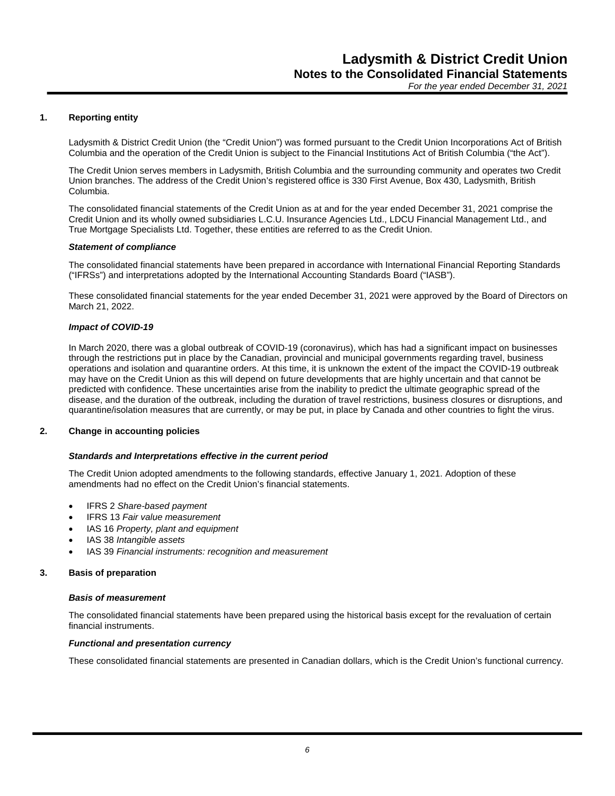# **1. Reporting entity**

Ladysmith & District Credit Union (the "Credit Union") was formed pursuant to the Credit Union Incorporations Act of British Columbia and the operation of the Credit Union is subject to the Financial Institutions Act of British Columbia ("the Act").

The Credit Union serves members in Ladysmith, British Columbia and the surrounding community and operates two Credit Union branches. The address of the Credit Union's registered office is 330 First Avenue, Box 430, Ladysmith, British Columbia.

The consolidated financial statements of the Credit Union as at and for the year ended December 31, 2021 comprise the Credit Union and its wholly owned subsidiaries L.C.U. Insurance Agencies Ltd., LDCU Financial Management Ltd., and True Mortgage Specialists Ltd. Together, these entities are referred to as the Credit Union.

#### *Statement of compliance*

The consolidated financial statements have been prepared in accordance with International Financial Reporting Standards ("IFRSs") and interpretations adopted by the International Accounting Standards Board ("IASB").

These consolidated financial statements for the year ended December 31, 2021 were approved by the Board of Directors on March 21, 2022.

# *Impact of COVID-19*

In March 2020, there was a global outbreak of COVID-19 (coronavirus), which has had a significant impact on businesses through the restrictions put in place by the Canadian, provincial and municipal governments regarding travel, business operations and isolation and quarantine orders. At this time, it is unknown the extent of the impact the COVID-19 outbreak may have on the Credit Union as this will depend on future developments that are highly uncertain and that cannot be predicted with confidence. These uncertainties arise from the inability to predict the ultimate geographic spread of the disease, and the duration of the outbreak, including the duration of travel restrictions, business closures or disruptions, and quarantine/isolation measures that are currently, or may be put, in place by Canada and other countries to fight the virus.

# **2. Change in accounting policies**

# *Standards and Interpretations effective in the current period*

The Credit Union adopted amendments to the following standards, effective January 1, 2021. Adoption of these amendments had no effect on the Credit Union's financial statements.

- IFRS 2 *Share-based payment*
- IFRS 13 *Fair value measurement*
- IAS 16 *Property, plant and equipment*
- IAS 38 *Intangible assets*
- IAS 39 *Financial instruments: recognition and measurement*

# **3. Basis of preparation**

#### *Basis of measurement*

The consolidated financial statements have been prepared using the historical basis except for the revaluation of certain financial instruments.

#### *Functional and presentation currency*

These consolidated financial statements are presented in Canadian dollars, which is the Credit Union's functional currency.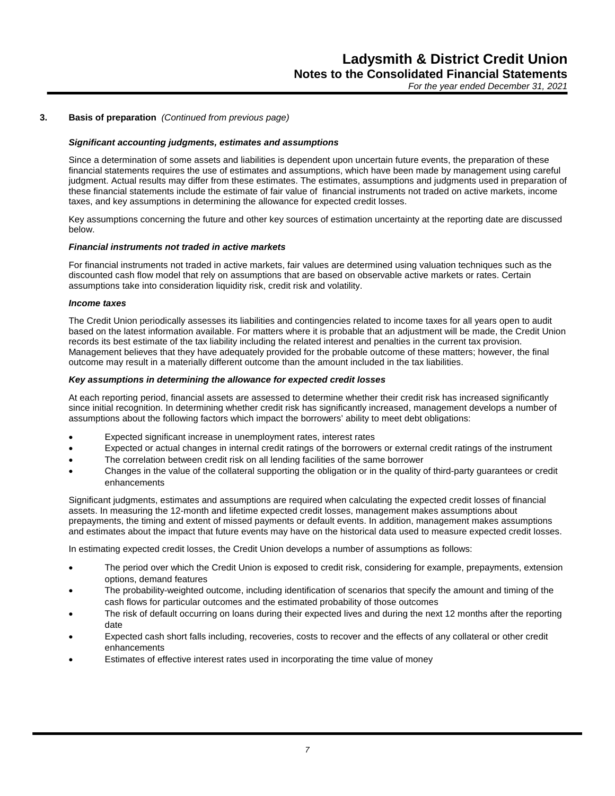# **3. Basis of preparation** *(Continued from previous page)*

#### *Significant accounting judgments, estimates and assumptions*

Since a determination of some assets and liabilities is dependent upon uncertain future events, the preparation of these financial statements requires the use of estimates and assumptions, which have been made by management using careful judgment. Actual results may differ from these estimates. The estimates, assumptions and judgments used in preparation of these financial statements include the estimate of fair value of financial instruments not traded on active markets, income taxes, and key assumptions in determining the allowance for expected credit losses.

Key assumptions concerning the future and other key sources of estimation uncertainty at the reporting date are discussed below.

#### *Financial instruments not traded in active markets*

For financial instruments not traded in active markets, fair values are determined using valuation techniques such as the discounted cash flow model that rely on assumptions that are based on observable active markets or rates. Certain assumptions take into consideration liquidity risk, credit risk and volatility.

#### *Income taxes*

The Credit Union periodically assesses its liabilities and contingencies related to income taxes for all years open to audit based on the latest information available. For matters where it is probable that an adjustment will be made, the Credit Union records its best estimate of the tax liability including the related interest and penalties in the current tax provision. Management believes that they have adequately provided for the probable outcome of these matters; however, the final outcome may result in a materially different outcome than the amount included in the tax liabilities.

#### *Key assumptions in determining the allowance for expected credit losses*

At each reporting period, financial assets are assessed to determine whether their credit risk has increased significantly since initial recognition. In determining whether credit risk has significantly increased, management develops a number of assumptions about the following factors which impact the borrowers' ability to meet debt obligations:

- Expected significant increase in unemployment rates, interest rates
- Expected or actual changes in internal credit ratings of the borrowers or external credit ratings of the instrument
- The correlation between credit risk on all lending facilities of the same borrower
- Changes in the value of the collateral supporting the obligation or in the quality of third-party guarantees or credit enhancements

Significant judgments, estimates and assumptions are required when calculating the expected credit losses of financial assets. In measuring the 12-month and lifetime expected credit losses, management makes assumptions about prepayments, the timing and extent of missed payments or default events. In addition, management makes assumptions and estimates about the impact that future events may have on the historical data used to measure expected credit losses.

In estimating expected credit losses, the Credit Union develops a number of assumptions as follows:

- The period over which the Credit Union is exposed to credit risk, considering for example, prepayments, extension options, demand features
- The probability-weighted outcome, including identification of scenarios that specify the amount and timing of the cash flows for particular outcomes and the estimated probability of those outcomes
- The risk of default occurring on loans during their expected lives and during the next 12 months after the reporting date
- Expected cash short falls including, recoveries, costs to recover and the effects of any collateral or other credit enhancements
- Estimates of effective interest rates used in incorporating the time value of money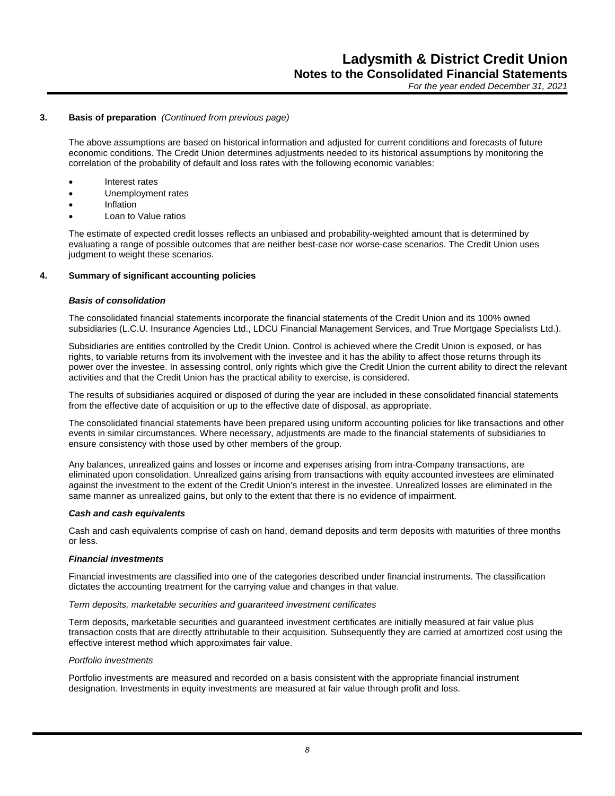# **3. Basis of preparation** *(Continued from previous page)*

The above assumptions are based on historical information and adjusted for current conditions and forecasts of future economic conditions. The Credit Union determines adjustments needed to its historical assumptions by monitoring the correlation of the probability of default and loss rates with the following economic variables:

- Interest rates
- Unemployment rates
- **Inflation**
- Loan to Value ratios

The estimate of expected credit losses reflects an unbiased and probability-weighted amount that is determined by evaluating a range of possible outcomes that are neither best-case nor worse-case scenarios. The Credit Union uses judgment to weight these scenarios.

#### **4. Summary of significant accounting policies**

#### *Basis of consolidation*

The consolidated financial statements incorporate the financial statements of the Credit Union and its 100% owned subsidiaries (L.C.U. Insurance Agencies Ltd., LDCU Financial Management Services, and True Mortgage Specialists Ltd.).

Subsidiaries are entities controlled by the Credit Union. Control is achieved where the Credit Union is exposed, or has rights, to variable returns from its involvement with the investee and it has the ability to affect those returns through its power over the investee. In assessing control, only rights which give the Credit Union the current ability to direct the relevant activities and that the Credit Union has the practical ability to exercise, is considered.

The results of subsidiaries acquired or disposed of during the year are included in these consolidated financial statements from the effective date of acquisition or up to the effective date of disposal, as appropriate.

The consolidated financial statements have been prepared using uniform accounting policies for like transactions and other events in similar circumstances. Where necessary, adjustments are made to the financial statements of subsidiaries to ensure consistency with those used by other members of the group.

Any balances, unrealized gains and losses or income and expenses arising from intra-Company transactions, are eliminated upon consolidation. Unrealized gains arising from transactions with equity accounted investees are eliminated against the investment to the extent of the Credit Union's interest in the investee. Unrealized losses are eliminated in the same manner as unrealized gains, but only to the extent that there is no evidence of impairment.

#### *Cash and cash equivalents*

Cash and cash equivalents comprise of cash on hand, demand deposits and term deposits with maturities of three months or less.

#### *Financial investments*

Financial investments are classified into one of the categories described under financial instruments. The classification dictates the accounting treatment for the carrying value and changes in that value.

#### *Term deposits, marketable securities and guaranteed investment certificates*

Term deposits, marketable securities and guaranteed investment certificates are initially measured at fair value plus transaction costs that are directly attributable to their acquisition. Subsequently they are carried at amortized cost using the effective interest method which approximates fair value.

#### *Portfolio investments*

Portfolio investments are measured and recorded on a basis consistent with the appropriate financial instrument designation. Investments in equity investments are measured at fair value through profit and loss.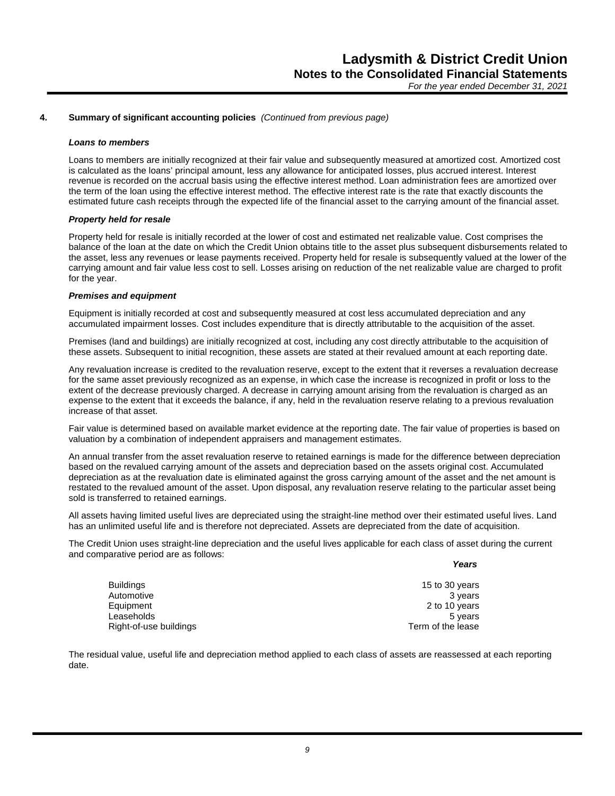*Years*

# **4. Summary of significant accounting policies** *(Continued from previous page)*

#### *Loans to members*

Loans to members are initially recognized at their fair value and subsequently measured at amortized cost. Amortized cost is calculated as the loans' principal amount, less any allowance for anticipated losses, plus accrued interest. Interest revenue is recorded on the accrual basis using the effective interest method. Loan administration fees are amortized over the term of the loan using the effective interest method. The effective interest rate is the rate that exactly discounts the estimated future cash receipts through the expected life of the financial asset to the carrying amount of the financial asset.

#### *Property held for resale*

Property held for resale is initially recorded at the lower of cost and estimated net realizable value. Cost comprises the balance of the loan at the date on which the Credit Union obtains title to the asset plus subsequent disbursements related to the asset, less any revenues or lease payments received. Property held for resale is subsequently valued at the lower of the carrying amount and fair value less cost to sell. Losses arising on reduction of the net realizable value are charged to profit for the year.

#### *Premises and equipment*

Equipment is initially recorded at cost and subsequently measured at cost less accumulated depreciation and any accumulated impairment losses. Cost includes expenditure that is directly attributable to the acquisition of the asset.

Premises (land and buildings) are initially recognized at cost, including any cost directly attributable to the acquisition of these assets. Subsequent to initial recognition, these assets are stated at their revalued amount at each reporting date.

Any revaluation increase is credited to the revaluation reserve, except to the extent that it reverses a revaluation decrease for the same asset previously recognized as an expense, in which case the increase is recognized in profit or loss to the extent of the decrease previously charged. A decrease in carrying amount arising from the revaluation is charged as an expense to the extent that it exceeds the balance, if any, held in the revaluation reserve relating to a previous revaluation increase of that asset.

Fair value is determined based on available market evidence at the reporting date. The fair value of properties is based on valuation by a combination of independent appraisers and management estimates.

An annual transfer from the asset revaluation reserve to retained earnings is made for the difference between depreciation based on the revalued carrying amount of the assets and depreciation based on the assets original cost. Accumulated depreciation as at the revaluation date is eliminated against the gross carrying amount of the asset and the net amount is restated to the revalued amount of the asset. Upon disposal, any revaluation reserve relating to the particular asset being sold is transferred to retained earnings.

All assets having limited useful lives are depreciated using the straight-line method over their estimated useful lives. Land has an unlimited useful life and is therefore not depreciated. Assets are depreciated from the date of acquisition.

The Credit Union uses straight-line depreciation and the useful lives applicable for each class of asset during the current and comparative period are as follows:

| Buildings              | 15 to 30 years    |
|------------------------|-------------------|
| Automotive             | 3 years           |
| Equipment              | 2 to 10 years     |
| Leaseholds             | 5 years           |
| Right-of-use buildings | Term of the lease |

The residual value, useful life and depreciation method applied to each class of assets are reassessed at each reporting date.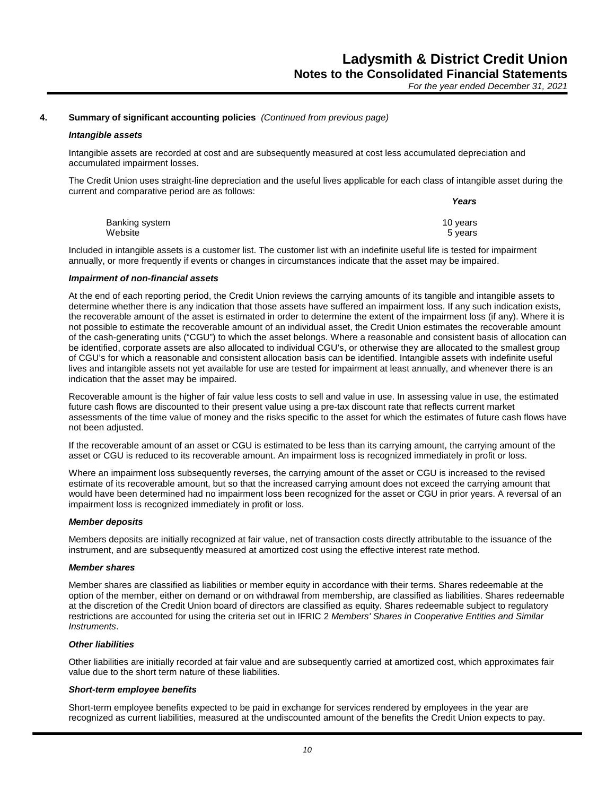#### **4. Summary of significant accounting policies** *(Continued from previous page)*

#### *Intangible assets*

Intangible assets are recorded at cost and are subsequently measured at cost less accumulated depreciation and accumulated impairment losses.

The Credit Union uses straight-line depreciation and the useful lives applicable for each class of intangible asset during the current and comparative period are as follows:  *Years*

| 10 years<br>5 years |
|---------------------|
|                     |

Included in intangible assets is a customer list. The customer list with an indefinite useful life is tested for impairment annually, or more frequently if events or changes in circumstances indicate that the asset may be impaired.

#### *Impairment of non-financial assets*

At the end of each reporting period, the Credit Union reviews the carrying amounts of its tangible and intangible assets to determine whether there is any indication that those assets have suffered an impairment loss. If any such indication exists, the recoverable amount of the asset is estimated in order to determine the extent of the impairment loss (if any). Where it is not possible to estimate the recoverable amount of an individual asset, the Credit Union estimates the recoverable amount of the cash-generating units ("CGU") to which the asset belongs. Where a reasonable and consistent basis of allocation can be identified, corporate assets are also allocated to individual CGU's, or otherwise they are allocated to the smallest group of CGU's for which a reasonable and consistent allocation basis can be identified. Intangible assets with indefinite useful lives and intangible assets not yet available for use are tested for impairment at least annually, and whenever there is an indication that the asset may be impaired.

Recoverable amount is the higher of fair value less costs to sell and value in use. In assessing value in use, the estimated future cash flows are discounted to their present value using a pre-tax discount rate that reflects current market assessments of the time value of money and the risks specific to the asset for which the estimates of future cash flows have not been adjusted.

If the recoverable amount of an asset or CGU is estimated to be less than its carrying amount, the carrying amount of the asset or CGU is reduced to its recoverable amount. An impairment loss is recognized immediately in profit or loss.

Where an impairment loss subsequently reverses, the carrying amount of the asset or CGU is increased to the revised estimate of its recoverable amount, but so that the increased carrying amount does not exceed the carrying amount that would have been determined had no impairment loss been recognized for the asset or CGU in prior years. A reversal of an impairment loss is recognized immediately in profit or loss.

# *Member deposits*

Members deposits are initially recognized at fair value, net of transaction costs directly attributable to the issuance of the instrument, and are subsequently measured at amortized cost using the effective interest rate method.

#### *Member shares*

Member shares are classified as liabilities or member equity in accordance with their terms. Shares redeemable at the option of the member, either on demand or on withdrawal from membership, are classified as liabilities. Shares redeemable at the discretion of the Credit Union board of directors are classified as equity. Shares redeemable subject to regulatory restrictions are accounted for using the criteria set out in IFRIC 2 *Members' Shares in Cooperative Entities and Similar Instruments*.

# *Other liabilities*

Other liabilities are initially recorded at fair value and are subsequently carried at amortized cost, which approximates fair value due to the short term nature of these liabilities.

#### *Short-term employee benefits*

Short-term employee benefits expected to be paid in exchange for services rendered by employees in the year are recognized as current liabilities, measured at the undiscounted amount of the benefits the Credit Union expects to pay.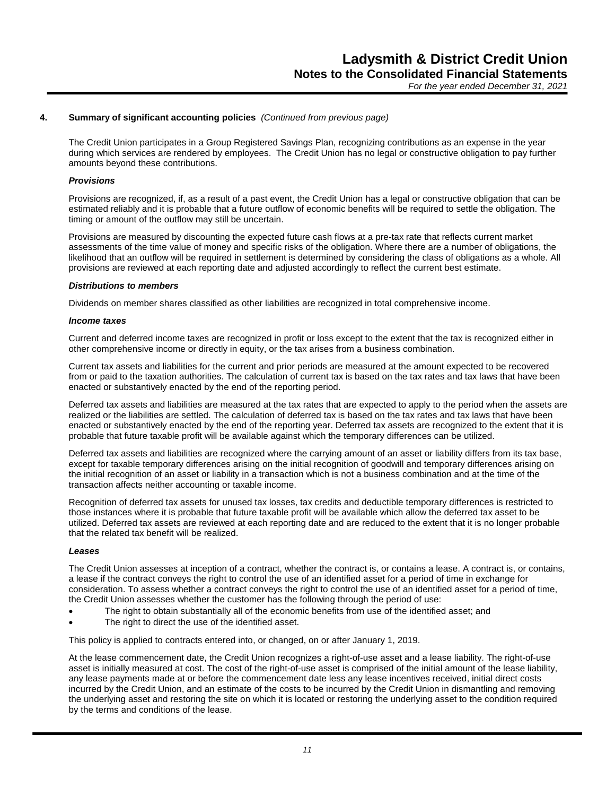# **4. Summary of significant accounting policies** *(Continued from previous page)*

The Credit Union participates in a Group Registered Savings Plan, recognizing contributions as an expense in the year during which services are rendered by employees. The Credit Union has no legal or constructive obligation to pay further amounts beyond these contributions.

#### *Provisions*

Provisions are recognized, if, as a result of a past event, the Credit Union has a legal or constructive obligation that can be estimated reliably and it is probable that a future outflow of economic benefits will be required to settle the obligation. The timing or amount of the outflow may still be uncertain.

Provisions are measured by discounting the expected future cash flows at a pre-tax rate that reflects current market assessments of the time value of money and specific risks of the obligation. Where there are a number of obligations, the likelihood that an outflow will be required in settlement is determined by considering the class of obligations as a whole. All provisions are reviewed at each reporting date and adjusted accordingly to reflect the current best estimate.

#### *Distributions to members*

Dividends on member shares classified as other liabilities are recognized in total comprehensive income.

#### *Income taxes*

Current and deferred income taxes are recognized in profit or loss except to the extent that the tax is recognized either in other comprehensive income or directly in equity, or the tax arises from a business combination.

Current tax assets and liabilities for the current and prior periods are measured at the amount expected to be recovered from or paid to the taxation authorities. The calculation of current tax is based on the tax rates and tax laws that have been enacted or substantively enacted by the end of the reporting period.

Deferred tax assets and liabilities are measured at the tax rates that are expected to apply to the period when the assets are realized or the liabilities are settled. The calculation of deferred tax is based on the tax rates and tax laws that have been enacted or substantively enacted by the end of the reporting year. Deferred tax assets are recognized to the extent that it is probable that future taxable profit will be available against which the temporary differences can be utilized.

Deferred tax assets and liabilities are recognized where the carrying amount of an asset or liability differs from its tax base, except for taxable temporary differences arising on the initial recognition of goodwill and temporary differences arising on the initial recognition of an asset or liability in a transaction which is not a business combination and at the time of the transaction affects neither accounting or taxable income.

Recognition of deferred tax assets for unused tax losses, tax credits and deductible temporary differences is restricted to those instances where it is probable that future taxable profit will be available which allow the deferred tax asset to be utilized. Deferred tax assets are reviewed at each reporting date and are reduced to the extent that it is no longer probable that the related tax benefit will be realized.

# *Leases*

The Credit Union assesses at inception of a contract, whether the contract is, or contains a lease. A contract is, or contains, a lease if the contract conveys the right to control the use of an identified asset for a period of time in exchange for consideration. To assess whether a contract conveys the right to control the use of an identified asset for a period of time, the Credit Union assesses whether the customer has the following through the period of use:

- The right to obtain substantially all of the economic benefits from use of the identified asset; and
- The right to direct the use of the identified asset.

This policy is applied to contracts entered into, or changed, on or after January 1, 2019.

At the lease commencement date, the Credit Union recognizes a right-of-use asset and a lease liability. The right-of-use asset is initially measured at cost. The cost of the right-of-use asset is comprised of the initial amount of the lease liability, any lease payments made at or before the commencement date less any lease incentives received, initial direct costs incurred by the Credit Union, and an estimate of the costs to be incurred by the Credit Union in dismantling and removing the underlying asset and restoring the site on which it is located or restoring the underlying asset to the condition required by the terms and conditions of the lease.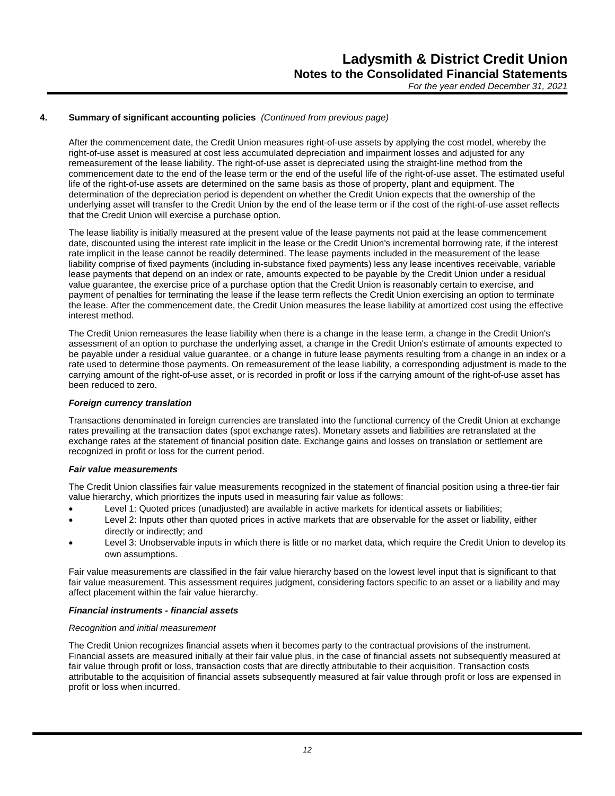# **4. Summary of significant accounting policies** *(Continued from previous page)*

After the commencement date, the Credit Union measures right-of-use assets by applying the cost model, whereby the right-of-use asset is measured at cost less accumulated depreciation and impairment losses and adjusted for any remeasurement of the lease liability. The right-of-use asset is depreciated using the straight-line method from the commencement date to the end of the lease term or the end of the useful life of the right-of-use asset. The estimated useful life of the right-of-use assets are determined on the same basis as those of property, plant and equipment. The determination of the depreciation period is dependent on whether the Credit Union expects that the ownership of the underlying asset will transfer to the Credit Union by the end of the lease term or if the cost of the right-of-use asset reflects that the Credit Union will exercise a purchase option.

The lease liability is initially measured at the present value of the lease payments not paid at the lease commencement date, discounted using the interest rate implicit in the lease or the Credit Union's incremental borrowing rate, if the interest rate implicit in the lease cannot be readily determined. The lease payments included in the measurement of the lease liability comprise of fixed payments (including in-substance fixed payments) less any lease incentives receivable, variable lease payments that depend on an index or rate, amounts expected to be payable by the Credit Union under a residual value guarantee, the exercise price of a purchase option that the Credit Union is reasonably certain to exercise, and payment of penalties for terminating the lease if the lease term reflects the Credit Union exercising an option to terminate the lease. After the commencement date, the Credit Union measures the lease liability at amortized cost using the effective interest method.

The Credit Union remeasures the lease liability when there is a change in the lease term, a change in the Credit Union's assessment of an option to purchase the underlying asset, a change in the Credit Union's estimate of amounts expected to be payable under a residual value guarantee, or a change in future lease payments resulting from a change in an index or a rate used to determine those payments. On remeasurement of the lease liability, a corresponding adjustment is made to the carrying amount of the right-of-use asset, or is recorded in profit or loss if the carrying amount of the right-of-use asset has been reduced to zero.

# *Foreign currency translation*

Transactions denominated in foreign currencies are translated into the functional currency of the Credit Union at exchange rates prevailing at the transaction dates (spot exchange rates). Monetary assets and liabilities are retranslated at the exchange rates at the statement of financial position date. Exchange gains and losses on translation or settlement are recognized in profit or loss for the current period.

# *Fair value measurements*

The Credit Union classifies fair value measurements recognized in the statement of financial position using a three-tier fair value hierarchy, which prioritizes the inputs used in measuring fair value as follows:

- Level 1: Quoted prices (unadjusted) are available in active markets for identical assets or liabilities;
- Level 2: Inputs other than quoted prices in active markets that are observable for the asset or liability, either directly or indirectly; and
- Level 3: Unobservable inputs in which there is little or no market data, which require the Credit Union to develop its own assumptions.

Fair value measurements are classified in the fair value hierarchy based on the lowest level input that is significant to that fair value measurement. This assessment requires judgment, considering factors specific to an asset or a liability and may affect placement within the fair value hierarchy.

# *Financial instruments - financial assets*

# *Recognition and initial measurement*

The Credit Union recognizes financial assets when it becomes party to the contractual provisions of the instrument. Financial assets are measured initially at their fair value plus, in the case of financial assets not subsequently measured at fair value through profit or loss, transaction costs that are directly attributable to their acquisition. Transaction costs attributable to the acquisition of financial assets subsequently measured at fair value through profit or loss are expensed in profit or loss when incurred.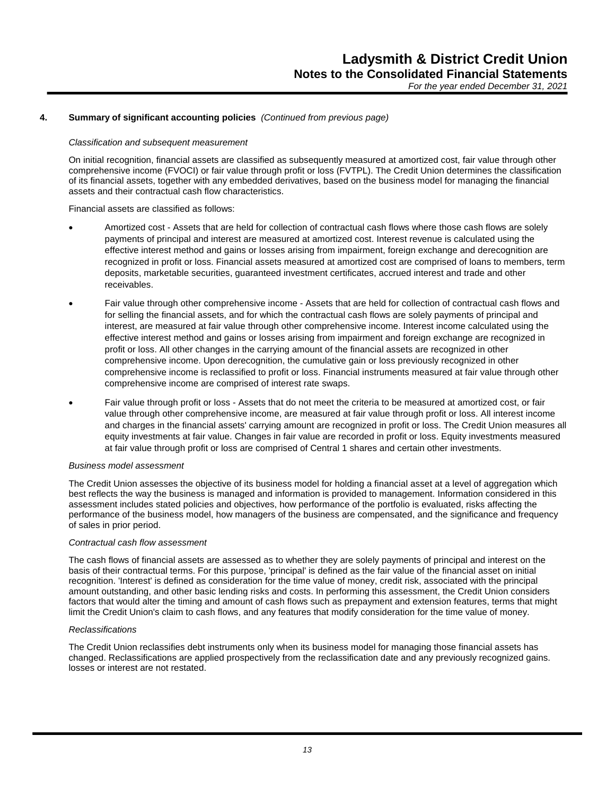# **4. Summary of significant accounting policies** *(Continued from previous page)*

#### *Classification and subsequent measurement*

On initial recognition, financial assets are classified as subsequently measured at amortized cost, fair value through other comprehensive income (FVOCI) or fair value through profit or loss (FVTPL). The Credit Union determines the classification of its financial assets, together with any embedded derivatives, based on the business model for managing the financial assets and their contractual cash flow characteristics.

Financial assets are classified as follows:

- Amortized cost Assets that are held for collection of contractual cash flows where those cash flows are solely payments of principal and interest are measured at amortized cost. Interest revenue is calculated using the effective interest method and gains or losses arising from impairment, foreign exchange and derecognition are recognized in profit or loss. Financial assets measured at amortized cost are comprised of loans to members, term deposits, marketable securities, guaranteed investment certificates, accrued interest and trade and other receivables.
- Fair value through other comprehensive income Assets that are held for collection of contractual cash flows and for selling the financial assets, and for which the contractual cash flows are solely payments of principal and interest, are measured at fair value through other comprehensive income. Interest income calculated using the effective interest method and gains or losses arising from impairment and foreign exchange are recognized in profit or loss. All other changes in the carrying amount of the financial assets are recognized in other comprehensive income. Upon derecognition, the cumulative gain or loss previously recognized in other comprehensive income is reclassified to profit or loss. Financial instruments measured at fair value through other comprehensive income are comprised of interest rate swaps.
- Fair value through profit or loss Assets that do not meet the criteria to be measured at amortized cost, or fair value through other comprehensive income, are measured at fair value through profit or loss. All interest income and charges in the financial assets' carrying amount are recognized in profit or loss. The Credit Union measures all equity investments at fair value. Changes in fair value are recorded in profit or loss. Equity investments measured at fair value through profit or loss are comprised of Central 1 shares and certain other investments.

#### *Business model assessment*

The Credit Union assesses the objective of its business model for holding a financial asset at a level of aggregation which best reflects the way the business is managed and information is provided to management. Information considered in this assessment includes stated policies and objectives, how performance of the portfolio is evaluated, risks affecting the performance of the business model, how managers of the business are compensated, and the significance and frequency of sales in prior period.

#### *Contractual cash flow assessment*

The cash flows of financial assets are assessed as to whether they are solely payments of principal and interest on the basis of their contractual terms. For this purpose, 'principal' is defined as the fair value of the financial asset on initial recognition. 'Interest' is defined as consideration for the time value of money, credit risk, associated with the principal amount outstanding, and other basic lending risks and costs. In performing this assessment, the Credit Union considers factors that would alter the timing and amount of cash flows such as prepayment and extension features, terms that might limit the Credit Union's claim to cash flows, and any features that modify consideration for the time value of money.

#### *Reclassifications*

The Credit Union reclassifies debt instruments only when its business model for managing those financial assets has changed. Reclassifications are applied prospectively from the reclassification date and any previously recognized gains. losses or interest are not restated.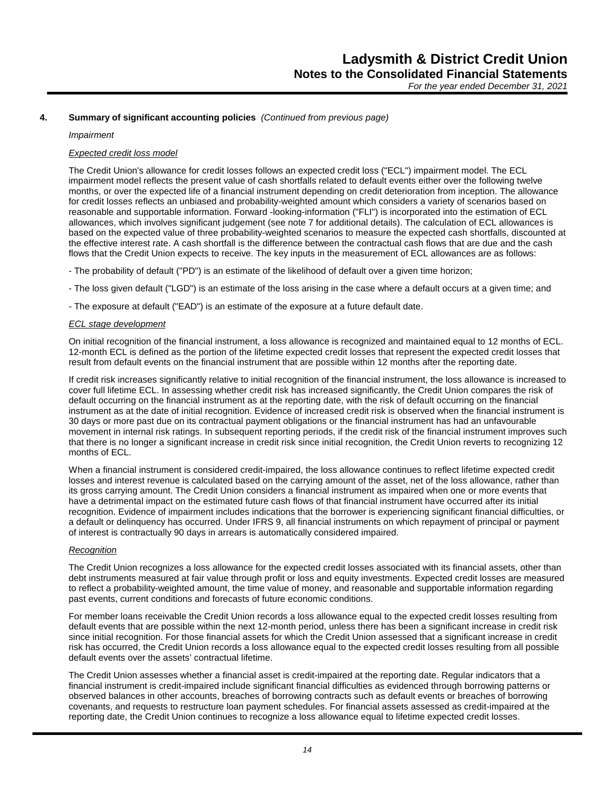# **4. Summary of significant accounting policies** *(Continued from previous page)*

#### *Impairment*

# *Expected credit loss model*

The Credit Union's allowance for credit losses follows an expected credit loss ("ECL") impairment model. The ECL impairment model reflects the present value of cash shortfalls related to default events either over the following twelve months, or over the expected life of a financial instrument depending on credit deterioration from inception. The allowance for credit losses reflects an unbiased and probability-weighted amount which considers a variety of scenarios based on reasonable and supportable information. Forward -looking-information ("FLI") is incorporated into the estimation of ECL allowances, which involves significant judgement (see note 7 for additional details). The calculation of ECL allowances is based on the expected value of three probability-weighted scenarios to measure the expected cash shortfalls, discounted at the effective interest rate. A cash shortfall is the difference between the contractual cash flows that are due and the cash flows that the Credit Union expects to receive. The key inputs in the measurement of ECL allowances are as follows:

- The probability of default ("PD") is an estimate of the likelihood of default over a given time horizon;

- The loss given default ("LGD") is an estimate of the loss arising in the case where a default occurs at a given time; and

- The exposure at default ("EAD") is an estimate of the exposure at a future default date.

#### *ECL stage development*

On initial recognition of the financial instrument, a loss allowance is recognized and maintained equal to 12 months of ECL. 12-month ECL is defined as the portion of the lifetime expected credit losses that represent the expected credit losses that result from default events on the financial instrument that are possible within 12 months after the reporting date.

If credit risk increases significantly relative to initial recognition of the financial instrument, the loss allowance is increased to cover full lifetime ECL. In assessing whether credit risk has increased significantly, the Credit Union compares the risk of default occurring on the financial instrument as at the reporting date, with the risk of default occurring on the financial instrument as at the date of initial recognition. Evidence of increased credit risk is observed when the financial instrument is 30 days or more past due on its contractual payment obligations or the financial instrument has had an unfavourable movement in internal risk ratings. In subsequent reporting periods, if the credit risk of the financial instrument improves such that there is no longer a significant increase in credit risk since initial recognition, the Credit Union reverts to recognizing 12 months of ECL.

When a financial instrument is considered credit-impaired, the loss allowance continues to reflect lifetime expected credit losses and interest revenue is calculated based on the carrying amount of the asset, net of the loss allowance, rather than its gross carrying amount. The Credit Union considers a financial instrument as impaired when one or more events that have a detrimental impact on the estimated future cash flows of that financial instrument have occurred after its initial recognition. Evidence of impairment includes indications that the borrower is experiencing significant financial difficulties, or a default or delinquency has occurred. Under IFRS 9, all financial instruments on which repayment of principal or payment of interest is contractually 90 days in arrears is automatically considered impaired.

# *Recognition*

The Credit Union recognizes a loss allowance for the expected credit losses associated with its financial assets, other than debt instruments measured at fair value through profit or loss and equity investments. Expected credit losses are measured to reflect a probability-weighted amount, the time value of money, and reasonable and supportable information regarding past events, current conditions and forecasts of future economic conditions.

For member loans receivable the Credit Union records a loss allowance equal to the expected credit losses resulting from default events that are possible within the next 12-month period, unless there has been a significant increase in credit risk since initial recognition. For those financial assets for which the Credit Union assessed that a significant increase in credit risk has occurred, the Credit Union records a loss allowance equal to the expected credit losses resulting from all possible default events over the assets' contractual lifetime.

The Credit Union assesses whether a financial asset is credit-impaired at the reporting date. Regular indicators that a financial instrument is credit-impaired include significant financial difficulties as evidenced through borrowing patterns or observed balances in other accounts, breaches of borrowing contracts such as default events or breaches of borrowing covenants, and requests to restructure loan payment schedules. For financial assets assessed as credit-impaired at the reporting date, the Credit Union continues to recognize a loss allowance equal to lifetime expected credit losses.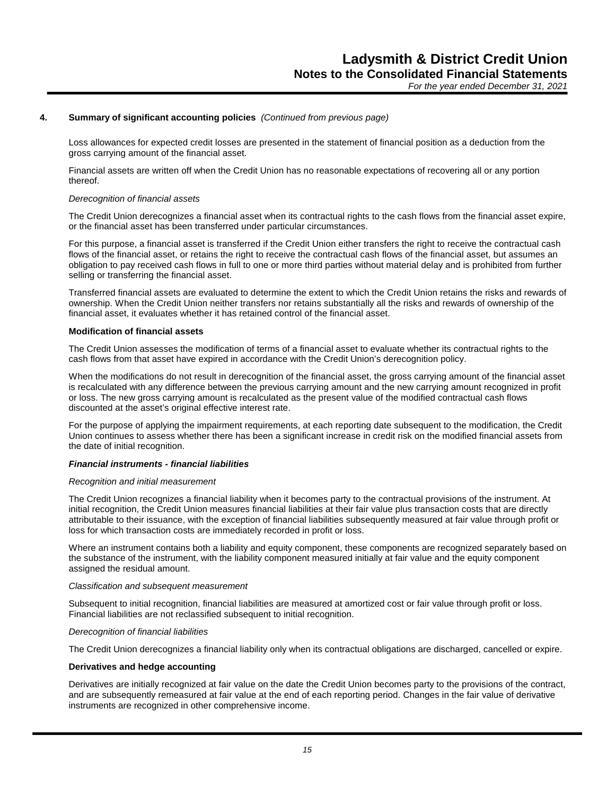# **4. Summary of significant accounting policies** *(Continued from previous page)*

Loss allowances for expected credit losses are presented in the statement of financial position as a deduction from the gross carrying amount of the financial asset.

Financial assets are written off when the Credit Union has no reasonable expectations of recovering all or any portion thereof.

#### *Derecognition of financial assets*

The Credit Union derecognizes a financial asset when its contractual rights to the cash flows from the financial asset expire, or the financial asset has been transferred under particular circumstances.

For this purpose, a financial asset is transferred if the Credit Union either transfers the right to receive the contractual cash flows of the financial asset, or retains the right to receive the contractual cash flows of the financial asset, but assumes an obligation to pay received cash flows in full to one or more third parties without material delay and is prohibited from further selling or transferring the financial asset.

Transferred financial assets are evaluated to determine the extent to which the Credit Union retains the risks and rewards of ownership. When the Credit Union neither transfers nor retains substantially all the risks and rewards of ownership of the financial asset, it evaluates whether it has retained control of the financial asset.

#### **Modification of financial assets**

The Credit Union assesses the modification of terms of a financial asset to evaluate whether its contractual rights to the cash flows from that asset have expired in accordance with the Credit Union's derecognition policy.

When the modifications do not result in derecognition of the financial asset, the gross carrying amount of the financial asset is recalculated with any difference between the previous carrying amount and the new carrying amount recognized in profit or loss. The new gross carrying amount is recalculated as the present value of the modified contractual cash flows discounted at the asset's original effective interest rate.

For the purpose of applying the impairment requirements, at each reporting date subsequent to the modification, the Credit Union continues to assess whether there has been a significant increase in credit risk on the modified financial assets from the date of initial recognition.

#### *Financial instruments - financial liabilities*

#### *Recognition and initial measurement*

The Credit Union recognizes a financial liability when it becomes party to the contractual provisions of the instrument. At initial recognition, the Credit Union measures financial liabilities at their fair value plus transaction costs that are directly attributable to their issuance, with the exception of financial liabilities subsequently measured at fair value through profit or loss for which transaction costs are immediately recorded in profit or loss.

Where an instrument contains both a liability and equity component, these components are recognized separately based on the substance of the instrument, with the liability component measured initially at fair value and the equity component assigned the residual amount.

#### *Classification and subsequent measurement*

Subsequent to initial recognition, financial liabilities are measured at amortized cost or fair value through profit or loss. Financial liabilities are not reclassified subsequent to initial recognition.

#### *Derecognition of financial liabilities*

The Credit Union derecognizes a financial liability only when its contractual obligations are discharged, cancelled or expire.

#### **Derivatives and hedge accounting**

Derivatives are initially recognized at fair value on the date the Credit Union becomes party to the provisions of the contract, and are subsequently remeasured at fair value at the end of each reporting period. Changes in the fair value of derivative instruments are recognized in other comprehensive income.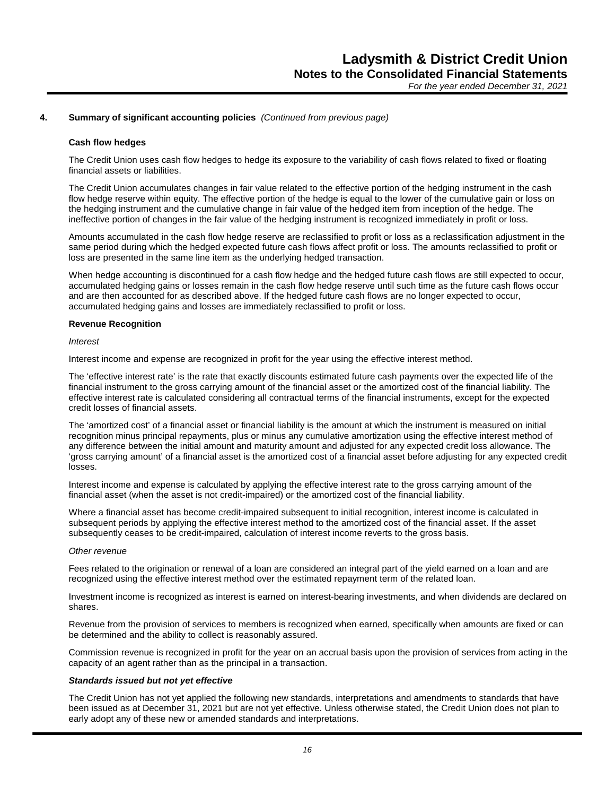#### **4. Summary of significant accounting policies** *(Continued from previous page)*

#### **Cash flow hedges**

The Credit Union uses cash flow hedges to hedge its exposure to the variability of cash flows related to fixed or floating financial assets or liabilities.

The Credit Union accumulates changes in fair value related to the effective portion of the hedging instrument in the cash flow hedge reserve within equity. The effective portion of the hedge is equal to the lower of the cumulative gain or loss on the hedging instrument and the cumulative change in fair value of the hedged item from inception of the hedge. The ineffective portion of changes in the fair value of the hedging instrument is recognized immediately in profit or loss.

Amounts accumulated in the cash flow hedge reserve are reclassified to profit or loss as a reclassification adjustment in the same period during which the hedged expected future cash flows affect profit or loss. The amounts reclassified to profit or loss are presented in the same line item as the underlying hedged transaction.

When hedge accounting is discontinued for a cash flow hedge and the hedged future cash flows are still expected to occur, accumulated hedging gains or losses remain in the cash flow hedge reserve until such time as the future cash flows occur and are then accounted for as described above. If the hedged future cash flows are no longer expected to occur, accumulated hedging gains and losses are immediately reclassified to profit or loss.

#### **Revenue Recognition**

*Interest*

Interest income and expense are recognized in profit for the year using the effective interest method.

The 'effective interest rate' is the rate that exactly discounts estimated future cash payments over the expected life of the financial instrument to the gross carrying amount of the financial asset or the amortized cost of the financial liability. The effective interest rate is calculated considering all contractual terms of the financial instruments, except for the expected credit losses of financial assets.

The 'amortized cost' of a financial asset or financial liability is the amount at which the instrument is measured on initial recognition minus principal repayments, plus or minus any cumulative amortization using the effective interest method of any difference between the initial amount and maturity amount and adjusted for any expected credit loss allowance. The 'gross carrying amount' of a financial asset is the amortized cost of a financial asset before adjusting for any expected credit losses.

Interest income and expense is calculated by applying the effective interest rate to the gross carrying amount of the financial asset (when the asset is not credit-impaired) or the amortized cost of the financial liability.

Where a financial asset has become credit-impaired subsequent to initial recognition, interest income is calculated in subsequent periods by applying the effective interest method to the amortized cost of the financial asset. If the asset subsequently ceases to be credit-impaired, calculation of interest income reverts to the gross basis.

#### *Other revenue*

Fees related to the origination or renewal of a loan are considered an integral part of the yield earned on a loan and are recognized using the effective interest method over the estimated repayment term of the related loan.

Investment income is recognized as interest is earned on interest-bearing investments, and when dividends are declared on shares.

Revenue from the provision of services to members is recognized when earned, specifically when amounts are fixed or can be determined and the ability to collect is reasonably assured.

Commission revenue is recognized in profit for the year on an accrual basis upon the provision of services from acting in the capacity of an agent rather than as the principal in a transaction.

#### *Standards issued but not yet effective*

The Credit Union has not yet applied the following new standards, interpretations and amendments to standards that have been issued as at December 31, 2021 but are not yet effective. Unless otherwise stated, the Credit Union does not plan to early adopt any of these new or amended standards and interpretations.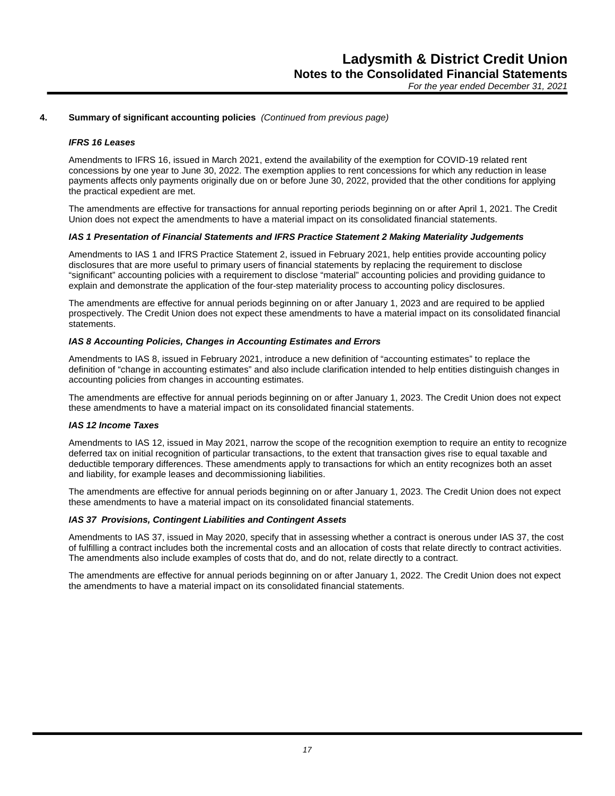#### **4. Summary of significant accounting policies** *(Continued from previous page)*

#### *IFRS 16 Leases*

Amendments to IFRS 16, issued in March 2021, extend the availability of the exemption for COVID-19 related rent concessions by one year to June 30, 2022. The exemption applies to rent concessions for which any reduction in lease payments affects only payments originally due on or before June 30, 2022, provided that the other conditions for applying the practical expedient are met.

The amendments are effective for transactions for annual reporting periods beginning on or after April 1, 2021. The Credit Union does not expect the amendments to have a material impact on its consolidated financial statements.

#### *IAS 1 Presentation of Financial Statements and IFRS Practice Statement 2 Making Materiality Judgements*

Amendments to IAS 1 and IFRS Practice Statement 2, issued in February 2021, help entities provide accounting policy disclosures that are more useful to primary users of financial statements by replacing the requirement to disclose "significant" accounting policies with a requirement to disclose "material" accounting policies and providing guidance to explain and demonstrate the application of the four-step materiality process to accounting policy disclosures.

The amendments are effective for annual periods beginning on or after January 1, 2023 and are required to be applied prospectively. The Credit Union does not expect these amendments to have a material impact on its consolidated financial statements.

#### *IAS 8 Accounting Policies, Changes in Accounting Estimates and Errors*

Amendments to IAS 8, issued in February 2021, introduce a new definition of "accounting estimates" to replace the definition of "change in accounting estimates" and also include clarification intended to help entities distinguish changes in accounting policies from changes in accounting estimates.

The amendments are effective for annual periods beginning on or after January 1, 2023. The Credit Union does not expect these amendments to have a material impact on its consolidated financial statements.

# *IAS 12 Income Taxes*

Amendments to IAS 12, issued in May 2021, narrow the scope of the recognition exemption to require an entity to recognize deferred tax on initial recognition of particular transactions, to the extent that transaction gives rise to equal taxable and deductible temporary differences. These amendments apply to transactions for which an entity recognizes both an asset and liability, for example leases and decommissioning liabilities.

The amendments are effective for annual periods beginning on or after January 1, 2023. The Credit Union does not expect these amendments to have a material impact on its consolidated financial statements.

# *IAS 37 Provisions, Contingent Liabilities and Contingent Assets*

Amendments to IAS 37, issued in May 2020, specify that in assessing whether a contract is onerous under IAS 37, the cost of fulfilling a contract includes both the incremental costs and an allocation of costs that relate directly to contract activities. The amendments also include examples of costs that do, and do not, relate directly to a contract.

The amendments are effective for annual periods beginning on or after January 1, 2022. The Credit Union does not expect the amendments to have a material impact on its consolidated financial statements.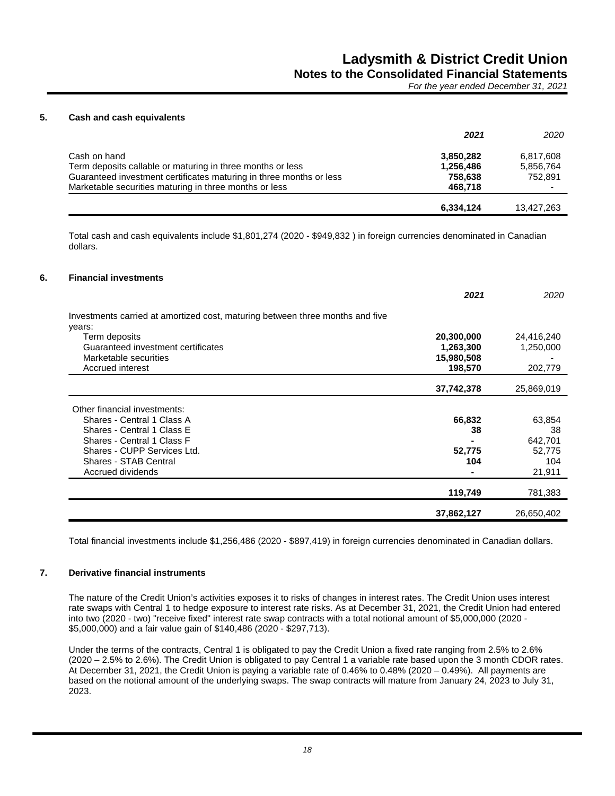**Notes to the Consolidated Financial Statements**

*For the year ended December 31, 2021*

# **5. Cash and cash equivalents**

|                                                                     | 2021      | 2020       |
|---------------------------------------------------------------------|-----------|------------|
| Cash on hand                                                        | 3,850,282 | 6,817,608  |
| Term deposits callable or maturing in three months or less          | 1,256,486 | 5,856,764  |
| Guaranteed investment certificates maturing in three months or less | 758,638   | 752,891    |
| Marketable securities maturing in three months or less              | 468.718   | ۰          |
|                                                                     | 6,334,124 | 13,427,263 |

Total cash and cash equivalents include \$1,801,274 (2020 - \$949,832 ) in foreign currencies denominated in Canadian dollars.

# **6. Financial investments**

|                                                                               | 2021       | 2020       |
|-------------------------------------------------------------------------------|------------|------------|
| Investments carried at amortized cost, maturing between three months and five |            |            |
| years:                                                                        |            |            |
| Term deposits                                                                 | 20,300,000 | 24,416,240 |
| Guaranteed investment certificates                                            | 1,263,300  | 1,250,000  |
| Marketable securities                                                         | 15,980,508 |            |
| Accrued interest                                                              | 198,570    | 202,779    |
|                                                                               |            |            |
|                                                                               | 37,742,378 | 25,869,019 |
| Other financial investments:                                                  |            |            |
| Shares - Central 1 Class A                                                    | 66,832     | 63,854     |
| Shares - Central 1 Class E                                                    | 38         | 38         |
| Shares - Central 1 Class F                                                    |            | 642,701    |
| Shares - CUPP Services Ltd.                                                   | 52,775     | 52,775     |
| Shares - STAB Central                                                         | 104        | 104        |
| Accrued dividends                                                             |            | 21,911     |
|                                                                               |            |            |
|                                                                               | 119,749    | 781,383    |
|                                                                               | 37,862,127 | 26,650,402 |

Total financial investments include \$1,256,486 (2020 - \$897,419) in foreign currencies denominated in Canadian dollars.

# **7. Derivative financial instruments**

The nature of the Credit Union's activities exposes it to risks of changes in interest rates. The Credit Union uses interest rate swaps with Central 1 to hedge exposure to interest rate risks. As at December 31, 2021, the Credit Union had entered into two (2020 - two) "receive fixed" interest rate swap contracts with a total notional amount of \$5,000,000 (2020 - \$5,000,000) and a fair value gain of \$140,486 (2020 - \$297,713).

Under the terms of the contracts, Central 1 is obligated to pay the Credit Union a fixed rate ranging from 2.5% to 2.6% (2020 – 2.5% to 2.6%). The Credit Union is obligated to pay Central 1 a variable rate based upon the 3 month CDOR rates. At December 31, 2021, the Credit Union is paying a variable rate of 0.46% to 0.48% (2020 – 0.49%). All payments are based on the notional amount of the underlying swaps. The swap contracts will mature from January 24, 2023 to July 31, 2023.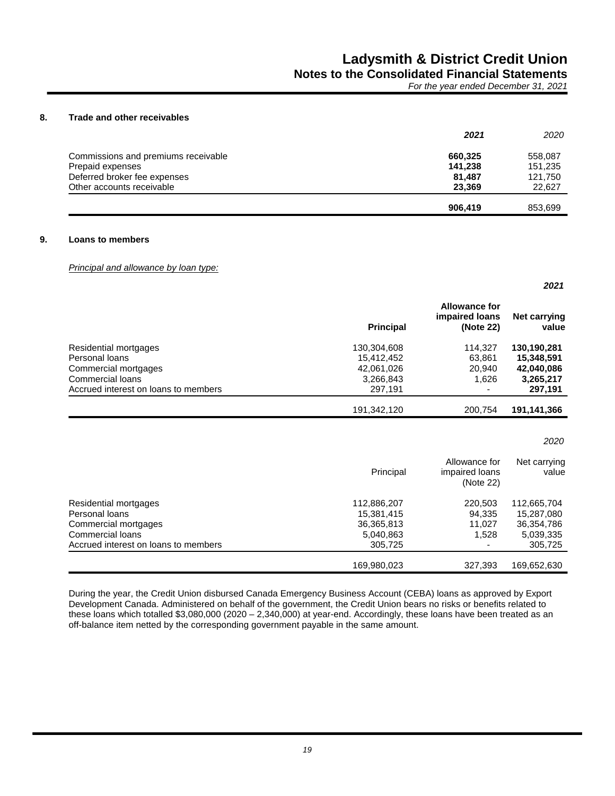# **Notes to the Consolidated Financial Statements**

*For the year ended December 31, 2021*

# **8. Trade and other receivables**

|                                     | 2021    | 2020    |
|-------------------------------------|---------|---------|
| Commissions and premiums receivable | 660,325 | 558,087 |
| Prepaid expenses                    | 141,238 | 151,235 |
| Deferred broker fee expenses        | 81.487  | 121,750 |
| Other accounts receivable           | 23,369  | 22,627  |
|                                     | 906.419 | 853,699 |

# **9. Loans to members**

*Principal and allowance by loan type:*

|                                      | <b>Principal</b> | Allowance for<br>impaired loans<br>(Note 22) | Net carrying<br>value |
|--------------------------------------|------------------|----------------------------------------------|-----------------------|
| Residential mortgages                | 130,304,608      | 114.327                                      | 130,190,281           |
| Personal loans                       | 15.412.452       | 63.861                                       | 15,348,591            |
| Commercial mortgages                 | 42,061,026       | 20,940                                       | 42,040,086            |
| Commercial loans                     | 3,266,843        | 1.626                                        | 3,265,217             |
| Accrued interest on loans to members | 297.191          |                                              | 297.191               |
|                                      | 191,342,120      | 200.754                                      | 191,141,366           |

#### *2020*

*2021*

|                                      | Principal   | Allowance for<br>impaired loans<br>(Note 22) | Net carrying<br>value |
|--------------------------------------|-------------|----------------------------------------------|-----------------------|
| Residential mortgages                | 112,886,207 | 220,503                                      | 112,665,704           |
| Personal loans                       | 15,381,415  | 94,335                                       | 15,287,080            |
| Commercial mortgages                 | 36,365,813  | 11.027                                       | 36,354,786            |
| Commercial loans                     | 5,040,863   | 1.528                                        | 5,039,335             |
| Accrued interest on loans to members | 305.725     |                                              | 305,725               |
|                                      | 169,980,023 | 327.393                                      | 169,652,630           |

During the year, the Credit Union disbursed Canada Emergency Business Account (CEBA) loans as approved by Export Development Canada. Administered on behalf of the government, the Credit Union bears no risks or benefits related to these loans which totalled \$3,080,000 (2020 – 2,340,000) at year-end. Accordingly, these loans have been treated as an off-balance item netted by the corresponding government payable in the same amount.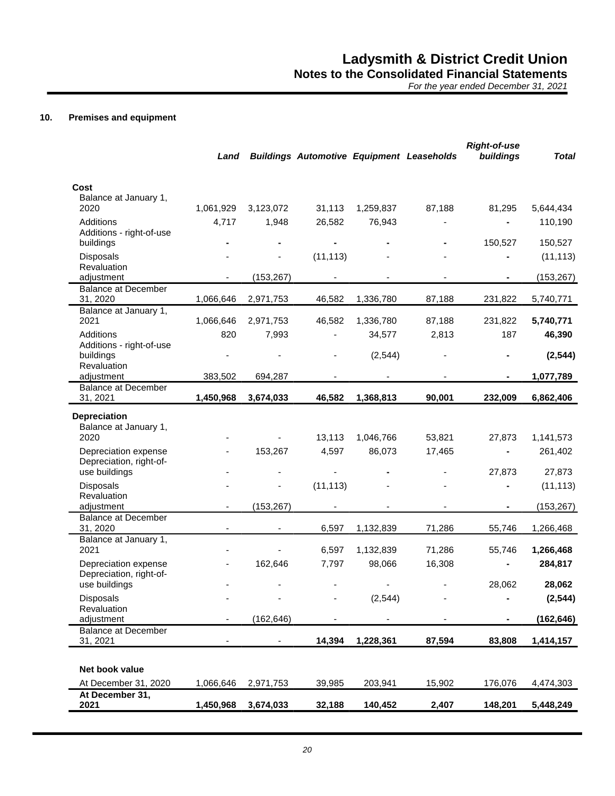# **Notes to the Consolidated Financial Statements**

*For the year ended December 31, 2021*

# **10. Premises and equipment**

|                                              | Land      |            | <b>Buildings Automotive Equipment Leaseholds</b> |           |        | <b>Right-of-use</b><br>buildings | <b>Total</b> |
|----------------------------------------------|-----------|------------|--------------------------------------------------|-----------|--------|----------------------------------|--------------|
| Cost<br>Balance at January 1,                |           |            |                                                  |           |        |                                  |              |
| 2020                                         | 1,061,929 | 3,123,072  | 31,113                                           | 1,259,837 | 87,188 | 81,295                           | 5,644,434    |
| Additions<br>Additions - right-of-use        | 4,717     | 1,948      | 26,582                                           | 76,943    |        |                                  | 110,190      |
| buildings                                    |           |            |                                                  |           |        | 150,527                          | 150,527      |
| Disposals                                    |           |            | (11, 113)                                        |           |        |                                  | (11, 113)    |
| Revaluation<br>adjustment                    |           | (153, 267) |                                                  |           |        |                                  | (153, 267)   |
| <b>Balance at December</b><br>31, 2020       | 1,066,646 | 2,971,753  | 46,582                                           | 1,336,780 | 87,188 | 231,822                          | 5,740,771    |
| Balance at January 1,<br>2021                | 1,066,646 | 2,971,753  | 46,582                                           | 1,336,780 | 87,188 | 231,822                          | 5,740,771    |
| Additions                                    | 820       | 7,993      |                                                  | 34,577    | 2,813  | 187                              | 46,390       |
| Additions - right-of-use<br>buildings        |           |            |                                                  | (2, 544)  |        |                                  | (2, 544)     |
| Revaluation<br>adjustment                    | 383,502   | 694,287    |                                                  |           |        |                                  | 1,077,789    |
| <b>Balance at December</b>                   |           |            |                                                  |           |        |                                  |              |
| 31, 2021                                     | 1,450,968 | 3,674,033  | 46,582                                           | 1,368,813 | 90,001 | 232,009                          | 6,862,406    |
| <b>Depreciation</b><br>Balance at January 1, |           |            |                                                  |           |        |                                  |              |
| 2020                                         |           |            | 13,113                                           | 1,046,766 | 53,821 | 27,873                           | 1,141,573    |
| Depreciation expense                         |           | 153,267    | 4,597                                            | 86,073    | 17,465 |                                  | 261,402      |
| Depreciation, right-of-<br>use buildings     |           |            |                                                  |           |        | 27,873                           | 27,873       |
| <b>Disposals</b>                             |           |            | (11, 113)                                        |           |        |                                  | (11, 113)    |
| Revaluation<br>adjustment                    |           | (153, 267) |                                                  |           |        |                                  | (153, 267)   |
| <b>Balance at December</b>                   |           |            |                                                  |           |        |                                  |              |
| 31, 2020<br>Balance at January 1,            |           |            | 6,597                                            | 1,132,839 | 71,286 | 55,746                           | 1,266,468    |
| 2021                                         |           |            | 6,597                                            | 1,132,839 | 71,286 | 55,746                           | 1,266,468    |
| Depreciation expense                         |           | 162,646    | 7,797                                            | 98,066    | 16,308 |                                  | 284,817      |
| Depreciation, right-of-<br>use buildings     |           |            |                                                  |           |        | 28,062                           | 28,062       |
| Disposals                                    |           |            |                                                  | (2, 544)  |        |                                  | (2, 544)     |
| Revaluation<br>adjustment                    |           | (162, 646) |                                                  |           |        |                                  | (162, 646)   |
| <b>Balance at December</b>                   |           |            |                                                  |           |        |                                  |              |
| 31, 2021                                     |           |            | 14,394                                           | 1,228,361 | 87,594 | 83,808                           | 1,414,157    |
| Net book value                               |           |            |                                                  |           |        |                                  |              |
| At December 31, 2020                         | 1,066,646 | 2,971,753  | 39,985                                           | 203,941   | 15,902 | 176,076                          | 4,474,303    |
| At December 31,<br>2021                      | 1,450,968 | 3,674,033  | 32,188                                           | 140,452   | 2,407  | 148,201                          | 5,448,249    |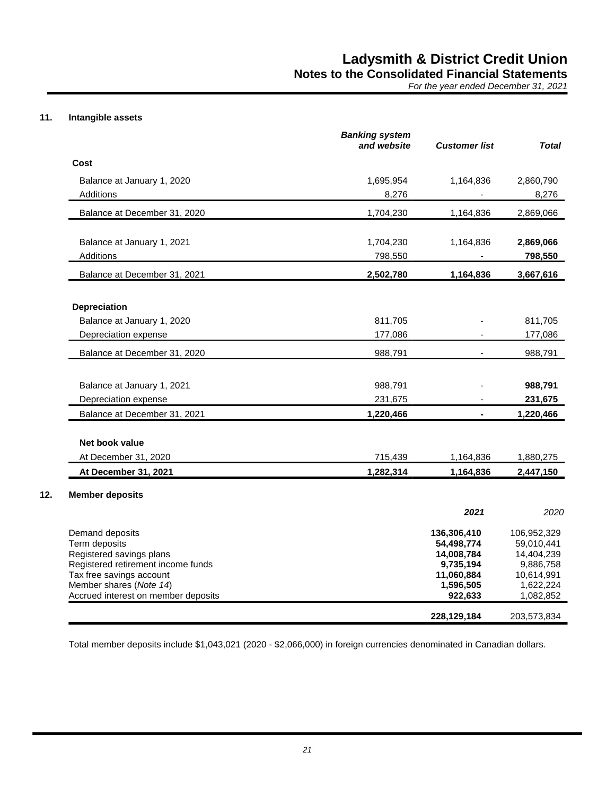# **Notes to the Consolidated Financial Statements**

*For the year ended December 31, 2021*

# **11. Intangible assets**

**12.** 

|                                                                | <b>Banking system</b><br>and website | <b>Customer list</b>    | Total                   |
|----------------------------------------------------------------|--------------------------------------|-------------------------|-------------------------|
| Cost                                                           |                                      |                         |                         |
| Balance at January 1, 2020                                     | 1,695,954                            | 1,164,836               | 2,860,790               |
| Additions                                                      | 8,276                                |                         | 8,276                   |
| Balance at December 31, 2020                                   | 1,704,230                            | 1,164,836               | 2,869,066               |
| Balance at January 1, 2021                                     | 1,704,230                            | 1,164,836               | 2,869,066               |
| Additions                                                      | 798,550                              |                         | 798,550                 |
| Balance at December 31, 2021                                   | 2,502,780                            | 1,164,836               | 3,667,616               |
| <b>Depreciation</b>                                            |                                      |                         |                         |
| Balance at January 1, 2020                                     | 811,705                              |                         | 811,705                 |
| Depreciation expense                                           | 177,086                              |                         | 177,086                 |
| Balance at December 31, 2020                                   | 988,791                              |                         | 988,791                 |
| Balance at January 1, 2021                                     | 988,791                              |                         | 988,791                 |
| Depreciation expense                                           | 231,675                              |                         | 231,675                 |
| Balance at December 31, 2021                                   | 1,220,466                            | $\blacksquare$          | 1,220,466               |
| Net book value                                                 |                                      |                         |                         |
| At December 31, 2020                                           | 715,439                              | 1,164,836               | 1,880,275               |
| At December 31, 2021                                           | 1,282,314                            | 1,164,836               | 2,447,150               |
| <b>Member deposits</b>                                         |                                      |                         |                         |
|                                                                |                                      | 2021                    | 2020                    |
| Demand deposits                                                |                                      | 136,306,410             | 106,952,329             |
| Term deposits                                                  |                                      | 54,498,774              | 59,010,441              |
| Registered savings plans                                       |                                      | 14,008,784              | 14,404,239              |
| Registered retirement income funds<br>Tax free savings account |                                      | 9,735,194<br>11,060,884 | 9,886,758<br>10,614,991 |
| Member shares (Note 14)                                        |                                      | 1,596,505               | 1,622,224               |
| Accrued interest on member deposits                            |                                      | 922,633                 | 1,082,852               |
|                                                                |                                      | 228,129,184             | 203,573,834             |

Total member deposits include \$1,043,021 (2020 - \$2,066,000) in foreign currencies denominated in Canadian dollars.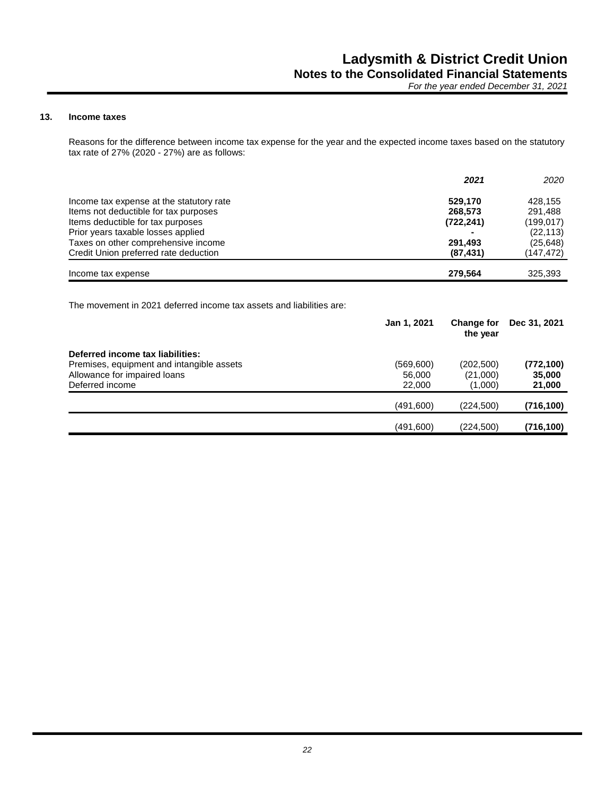# **13. Income taxes**

Reasons for the difference between income tax expense for the year and the expected income taxes based on the statutory tax rate of 27% (2020 - 27%) are as follows:

|                                          | 2021       | 2020      |
|------------------------------------------|------------|-----------|
| Income tax expense at the statutory rate | 529.170    | 428.155   |
| Items not deductible for tax purposes    | 268,573    | 291.488   |
| Items deductible for tax purposes        | (722, 241) | (199,017) |
| Prior years taxable losses applied       |            | (22, 113) |
| Taxes on other comprehensive income      | 291,493    | (25, 648) |
| Credit Union preferred rate deduction    | (87, 431)  | (147,472) |
| Income tax expense                       | 279.564    | 325.393   |

The movement in 2021 deferred income tax assets and liabilities are:

|                                           | Jan 1, 2021 | <b>Change for</b><br>the year | Dec 31, 2021 |
|-------------------------------------------|-------------|-------------------------------|--------------|
| Deferred income tax liabilities:          |             |                               |              |
| Premises, equipment and intangible assets | (569,600)   | (202, 500)                    | (772, 100)   |
| Allowance for impaired loans              | 56,000      | (21,000)                      | 35,000       |
| Deferred income                           | 22,000      | (1,000)                       | 21,000       |
|                                           | (491,600)   | (224, 500)                    | (716, 100)   |
|                                           | (491,600)   | (224, 500)                    | (716, 100)   |
|                                           |             |                               |              |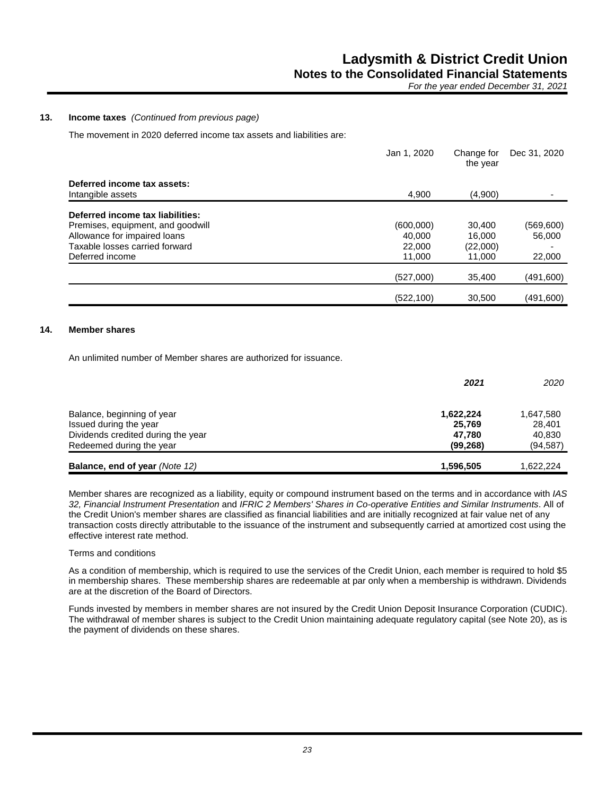# **Notes to the Consolidated Financial Statements**

*For the year ended December 31, 2021*

# **13. Income taxes** *(Continued from previous page)*

The movement in 2020 deferred income tax assets and liabilities are:

|                                                  | Jan 1, 2020 | Change for<br>the year | Dec 31, 2020 |
|--------------------------------------------------|-------------|------------------------|--------------|
| Deferred income tax assets:<br>Intangible assets | 4,900       | (4,900)                |              |
| Deferred income tax liabilities:                 |             |                        |              |
| Premises, equipment, and goodwill                | (600,000)   | 30,400                 | (569,600)    |
| Allowance for impaired loans                     | 40,000      | 16,000                 | 56,000       |
| Taxable losses carried forward                   | 22,000      | (22,000)               |              |
| Deferred income                                  | 11,000      | 11,000                 | 22,000       |
|                                                  | (527,000)   | 35,400                 | (491,600)    |
|                                                  | (522, 100)  | 30,500                 | (491,600)    |

# **14. Member shares**

An unlimited number of Member shares are authorized for issuance.

|                                                                                                                        | 2021                                       | 2020                                       |
|------------------------------------------------------------------------------------------------------------------------|--------------------------------------------|--------------------------------------------|
| Balance, beginning of year<br>Issued during the year<br>Dividends credited during the year<br>Redeemed during the year | 1,622,224<br>25,769<br>47.780<br>(99, 268) | 1,647,580<br>28,401<br>40,830<br>(94, 587) |
| <b>Balance, end of year (Note 12)</b>                                                                                  | 1,596,505                                  | 1.622.224                                  |

Member shares are recognized as a liability, equity or compound instrument based on the terms and in accordance with *IAS 32, Financial Instrument Presentation* and *IFRIC 2 Members' Shares in Co-operative Entities and Similar Instruments*. All of the Credit Union's member shares are classified as financial liabilities and are initially recognized at fair value net of any transaction costs directly attributable to the issuance of the instrument and subsequently carried at amortized cost using the effective interest rate method.

# Terms and conditions

As a condition of membership, which is required to use the services of the Credit Union, each member is required to hold \$5 in membership shares. These membership shares are redeemable at par only when a membership is withdrawn. Dividends are at the discretion of the Board of Directors.

Funds invested by members in member shares are not insured by the Credit Union Deposit Insurance Corporation (CUDIC). The withdrawal of member shares is subject to the Credit Union maintaining adequate regulatory capital (see Note 20), as is the payment of dividends on these shares.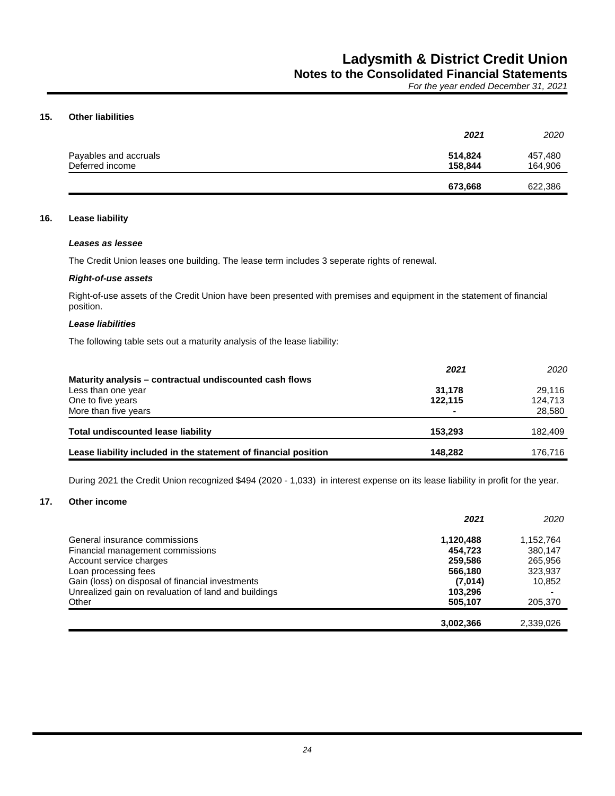**Notes to the Consolidated Financial Statements**

*For the year ended December 31, 2021*

# **15. Other liabilities**

|                       | 2021    | 2020    |
|-----------------------|---------|---------|
| Payables and accruals | 514,824 | 457,480 |
| Deferred income       | 158.844 | 164,906 |
|                       | 673,668 | 622,386 |

# **16. Lease liability**

# *Leases as lessee*

The Credit Union leases one building. The lease term includes 3 seperate rights of renewal.

#### *Right-of-use assets*

Right-of-use assets of the Credit Union have been presented with premises and equipment in the statement of financial position.

#### *Lease liabilities*

The following table sets out a maturity analysis of the lease liability:

|                                                                 | 2021    | 2020    |
|-----------------------------------------------------------------|---------|---------|
| Maturity analysis - contractual undiscounted cash flows         |         |         |
| Less than one year                                              | 31.178  | 29.116  |
| One to five years                                               | 122,115 | 124,713 |
| More than five years                                            |         | 28,580  |
| <b>Total undiscounted lease liability</b>                       | 153.293 | 182,409 |
| Lease liability included in the statement of financial position | 148.282 | 176,716 |

During 2021 the Credit Union recognized \$494 (2020 - 1,033) in interest expense on its lease liability in profit for the year.

# **17. Other income**

|                                                      | 2021      | 2020                     |
|------------------------------------------------------|-----------|--------------------------|
| General insurance commissions                        | 1,120,488 | 1,152,764                |
| Financial management commissions                     | 454.723   | 380.147                  |
| Account service charges                              | 259,586   | 265,956                  |
| Loan processing fees                                 | 566,180   | 323,937                  |
| Gain (loss) on disposal of financial investments     | (7,014)   | 10,852                   |
| Unrealized gain on revaluation of land and buildings | 103,296   | $\overline{\phantom{0}}$ |
| Other                                                | 505.107   | 205,370                  |
|                                                      |           |                          |
|                                                      | 3,002,366 | 2,339,026                |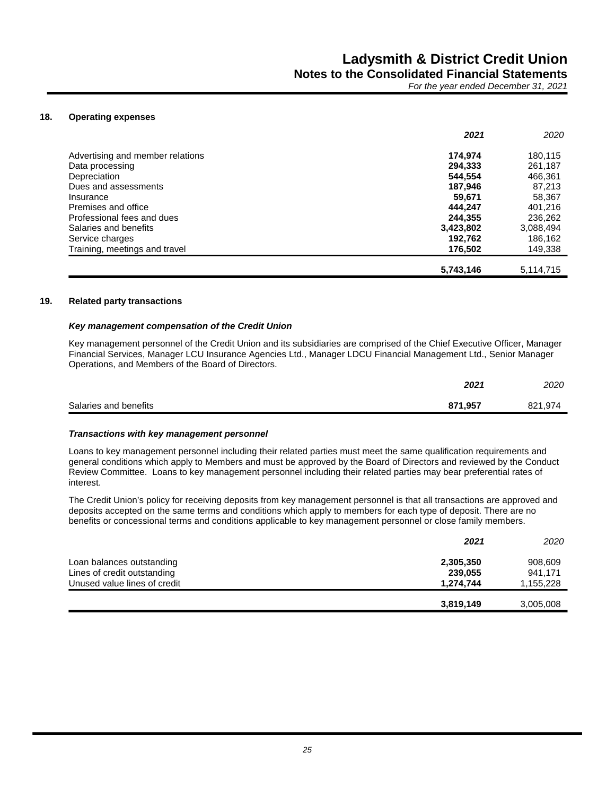**Notes to the Consolidated Financial Statements**

*For the year ended December 31, 2021*

# **18. Operating expenses**

|                                  | 2021      | 2020      |
|----------------------------------|-----------|-----------|
| Advertising and member relations | 174.974   | 180,115   |
| Data processing                  | 294.333   | 261.187   |
| Depreciation                     | 544.554   | 466,361   |
| Dues and assessments             | 187.946   | 87,213    |
| Insurance                        | 59,671    | 58,367    |
| Premises and office              | 444.247   | 401.216   |
| Professional fees and dues       | 244,355   | 236.262   |
| Salaries and benefits            | 3,423,802 | 3,088,494 |
| Service charges                  | 192.762   | 186,162   |
| Training, meetings and travel    | 176.502   | 149,338   |
|                                  | 5,743,146 | 5,114,715 |

# **19. Related party transactions**

#### *Key management compensation of the Credit Union*

Key management personnel of the Credit Union and its subsidiaries are comprised of the Chief Executive Officer, Manager Financial Services, Manager LCU Insurance Agencies Ltd., Manager LDCU Financial Management Ltd., Senior Manager Operations, and Members of the Board of Directors.

|                       | 2021<br>____ | 2020    |
|-----------------------|--------------|---------|
| Salaries and benefits | 871,957      | 821,974 |

# *Transactions with key management personnel*

Loans to key management personnel including their related parties must meet the same qualification requirements and general conditions which apply to Members and must be approved by the Board of Directors and reviewed by the Conduct Review Committee. Loans to key management personnel including their related parties may bear preferential rates of interest.

The Credit Union's policy for receiving deposits from key management personnel is that all transactions are approved and deposits accepted on the same terms and conditions which apply to members for each type of deposit. There are no benefits or concessional terms and conditions applicable to key management personnel or close family members.

|                              | 2021      | 2020      |
|------------------------------|-----------|-----------|
| Loan balances outstanding    | 2,305,350 | 908,609   |
| Lines of credit outstanding  | 239.055   | 941.171   |
| Unused value lines of credit | 1.274.744 | 1,155,228 |
|                              |           |           |
|                              | 3,819,149 | 3,005,008 |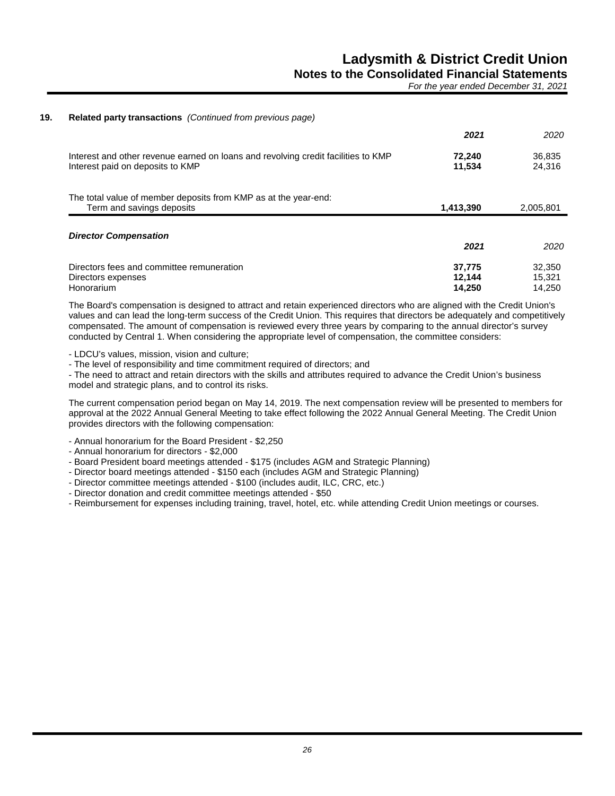# **Notes to the Consolidated Financial Statements**

*For the year ended December 31, 2021*

# **19. Related party transactions** *(Continued from previous page)*

|                                                                                                                       | 2021                       | 2020                       |
|-----------------------------------------------------------------------------------------------------------------------|----------------------------|----------------------------|
| Interest and other revenue earned on loans and revolving credit facilities to KMP<br>Interest paid on deposits to KMP | 72,240<br>11.534           | 36,835<br>24.316           |
| The total value of member deposits from KMP as at the year-end:<br>Term and savings deposits                          | 1,413,390                  | 2,005,801                  |
| <b>Director Compensation</b>                                                                                          | 2021                       | 2020                       |
| Directors fees and committee remuneration<br>Directors expenses<br>Honorarium                                         | 37,775<br>12,144<br>14.250 | 32,350<br>15.321<br>14.250 |

The Board's compensation is designed to attract and retain experienced directors who are aligned with the Credit Union's values and can lead the long-term success of the Credit Union. This requires that directors be adequately and competitively compensated. The amount of compensation is reviewed every three years by comparing to the annual director's survey conducted by Central 1. When considering the appropriate level of compensation, the committee considers:

- LDCU's values, mission, vision and culture;

- The level of responsibility and time commitment required of directors; and

- The need to attract and retain directors with the skills and attributes required to advance the Credit Union's business model and strategic plans, and to control its risks.

The current compensation period began on May 14, 2019. The next compensation review will be presented to members for approval at the 2022 Annual General Meeting to take effect following the 2022 Annual General Meeting. The Credit Union provides directors with the following compensation:

- Annual honorarium for the Board President \$2,250
- Annual honorarium for directors \$2,000
- Board President board meetings attended \$175 (includes AGM and Strategic Planning)
- Director board meetings attended \$150 each (includes AGM and Strategic Planning)
- Director committee meetings attended \$100 (includes audit, ILC, CRC, etc.)
- Director donation and credit committee meetings attended \$50

- Reimbursement for expenses including training, travel, hotel, etc. while attending Credit Union meetings or courses.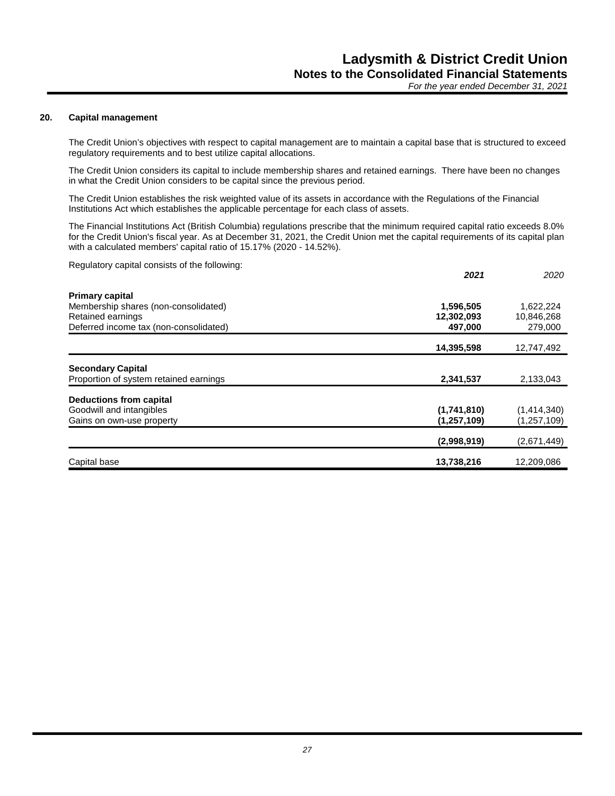# **20. Capital management**

The Credit Union's objectives with respect to capital management are to maintain a capital base that is structured to exceed regulatory requirements and to best utilize capital allocations.

The Credit Union considers its capital to include membership shares and retained earnings. There have been no changes in what the Credit Union considers to be capital since the previous period.

The Credit Union establishes the risk weighted value of its assets in accordance with the Regulations of the Financial Institutions Act which establishes the applicable percentage for each class of assets.

The Financial Institutions Act (British Columbia) regulations prescribe that the minimum required capital ratio exceeds 8.0% for the Credit Union's fiscal year. As at December 31, 2021, the Credit Union met the capital requirements of its capital plan with a calculated members' capital ratio of 15.17% (2020 - 14.52%).

| Regulatory capital consists of the following: | 2021        | 2020        |
|-----------------------------------------------|-------------|-------------|
| <b>Primary capital</b>                        |             |             |
| Membership shares (non-consolidated)          | 1,596,505   | 1,622,224   |
| Retained earnings                             | 12,302,093  | 10,846,268  |
| Deferred income tax (non-consolidated)        | 497,000     | 279,000     |
|                                               | 14,395,598  | 12,747,492  |
| <b>Secondary Capital</b>                      |             |             |
| Proportion of system retained earnings        | 2,341,537   | 2,133,043   |
| <b>Deductions from capital</b>                |             |             |
| Goodwill and intangibles                      | (1,741,810) | (1,414,340) |
| Gains on own-use property                     | (1,257,109) | (1,257,109) |
|                                               | (2,998,919) | (2,671,449) |
| Capital base                                  | 13,738,216  | 12,209,086  |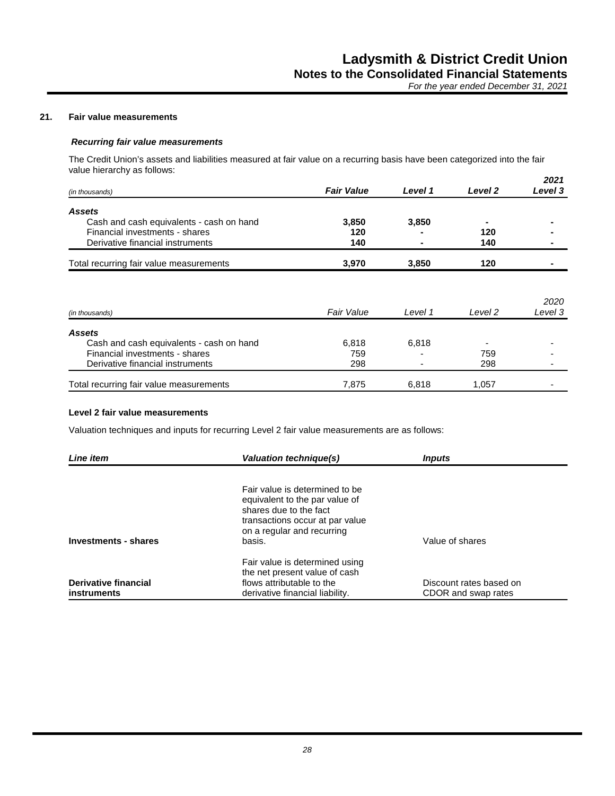# **21. Fair value measurements**

#### *Recurring fair value measurements*

The Credit Union's assets and liabilities measured at fair value on a recurring basis have been categorized into the fair value hierarchy as follows:

| (in thousands)                           | <b>Fair Value</b> | Level 1 | Level 2 | 2021<br>Level 3 |
|------------------------------------------|-------------------|---------|---------|-----------------|
| Assets                                   |                   |         |         |                 |
| Cash and cash equivalents - cash on hand | 3,850             | 3,850   | $\sim$  |                 |
| Financial investments - shares           | 120               |         | 120     |                 |
| Derivative financial instruments         | 140               | -       | 140     |                 |
| Total recurring fair value measurements  | 3.970             | 3,850   | 120     |                 |

| (in thousands)                           | <b>Fair Value</b> | Level 1 | Level 2 | 2020<br>Level 3          |
|------------------------------------------|-------------------|---------|---------|--------------------------|
| <b>Assets</b>                            |                   |         |         |                          |
| Cash and cash equivalents - cash on hand | 6,818             | 6.818   |         |                          |
| Financial investments - shares           | 759               |         | 759     | $\overline{\phantom{0}}$ |
| Derivative financial instruments         | 298               |         | 298     | -                        |
| Total recurring fair value measurements  | 7.875             | 6.818   | 1.057   |                          |

# **Level 2 fair value measurements**

Valuation techniques and inputs for recurring Level 2 fair value measurements are as follows:

| Line item                           | Valuation technique(s)                                                                                                                                                | <i><b>Inputs</b></i>                           |
|-------------------------------------|-----------------------------------------------------------------------------------------------------------------------------------------------------------------------|------------------------------------------------|
|                                     |                                                                                                                                                                       |                                                |
| Investments - shares                | Fair value is determined to be<br>equivalent to the par value of<br>shares due to the fact<br>transactions occur at par value<br>on a regular and recurring<br>basis. | Value of shares                                |
|                                     | Fair value is determined using<br>the net present value of cash                                                                                                       |                                                |
| Derivative financial<br>instruments | flows attributable to the<br>derivative financial liability.                                                                                                          | Discount rates based on<br>CDOR and swap rates |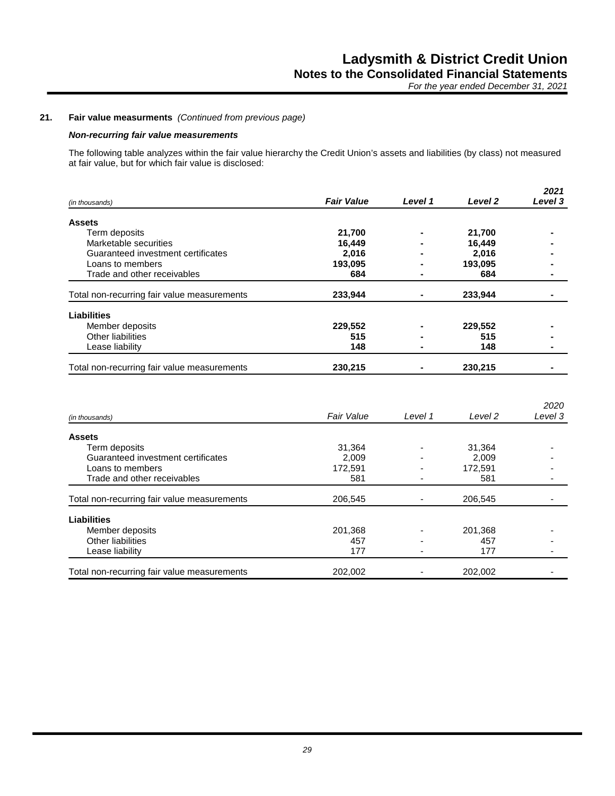# **21. Fair value measurments** *(Continued from previous page)*

# *Non-recurring fair value measurements*

The following table analyzes within the fair value hierarchy the Credit Union's assets and liabilities (by class) not measured at fair value, but for which fair value is disclosed:

|                                             |                   |         |         | 2021    |
|---------------------------------------------|-------------------|---------|---------|---------|
| (in thousands)                              | <b>Fair Value</b> | Level 1 | Level 2 | Level 3 |
| <b>Assets</b>                               |                   |         |         |         |
| Term deposits                               | 21,700            |         | 21,700  |         |
| Marketable securities                       | 16,449            |         | 16,449  |         |
| Guaranteed investment certificates          | 2.016             |         | 2.016   |         |
| Loans to members                            | 193,095           |         | 193,095 |         |
| Trade and other receivables                 | 684               |         | 684     |         |
| Total non-recurring fair value measurements | 233,944           |         | 233,944 |         |
| Liabilities                                 |                   |         |         |         |
| Member deposits                             | 229,552           |         | 229,552 |         |
| Other liabilities                           | 515               |         | 515     |         |
| Lease liability                             | 148               |         | 148     |         |
| Total non-recurring fair value measurements | 230,215           |         | 230.215 |         |

|                                             |                   |         |         | 2020    |
|---------------------------------------------|-------------------|---------|---------|---------|
| (in thousands)                              | <b>Fair Value</b> | Level 1 | Level 2 | Level 3 |
| <b>Assets</b>                               |                   |         |         |         |
| Term deposits                               | 31,364            |         | 31,364  |         |
| Guaranteed investment certificates          | 2,009             |         | 2.009   |         |
| Loans to members                            | 172,591           |         | 172,591 |         |
| Trade and other receivables                 | 581               |         | 581     |         |
| Total non-recurring fair value measurements | 206,545           |         | 206,545 |         |
| Liabilities                                 |                   |         |         |         |
| Member deposits                             | 201,368           |         | 201,368 |         |
| Other liabilities                           | 457               |         | 457     |         |
| Lease liability                             | 177               |         | 177     |         |
| Total non-recurring fair value measurements | 202.002           |         | 202.002 |         |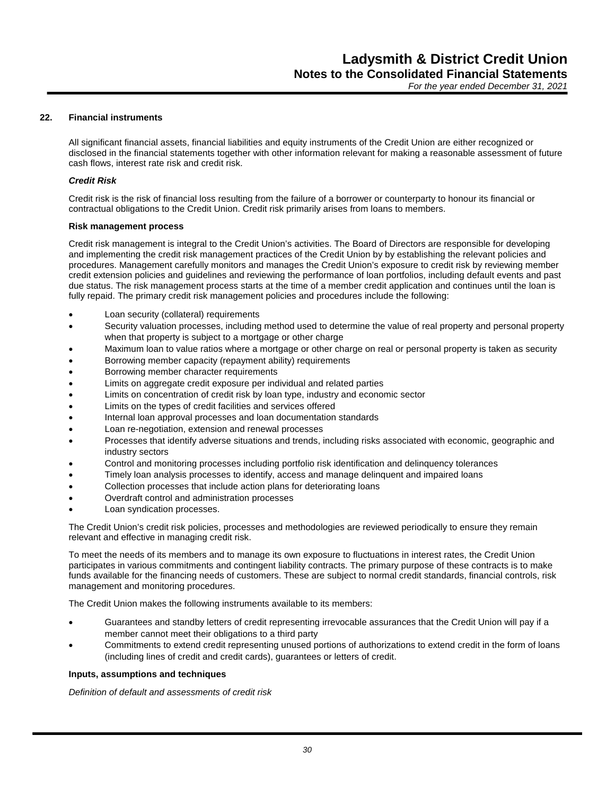# **22. Financial instruments**

All significant financial assets, financial liabilities and equity instruments of the Credit Union are either recognized or disclosed in the financial statements together with other information relevant for making a reasonable assessment of future cash flows, interest rate risk and credit risk.

# *Credit Risk*

Credit risk is the risk of financial loss resulting from the failure of a borrower or counterparty to honour its financial or contractual obligations to the Credit Union. Credit risk primarily arises from loans to members.

#### **Risk management process**

Credit risk management is integral to the Credit Union's activities. The Board of Directors are responsible for developing and implementing the credit risk management practices of the Credit Union by by establishing the relevant policies and procedures. Management carefully monitors and manages the Credit Union's exposure to credit risk by reviewing member credit extension policies and guidelines and reviewing the performance of loan portfolios, including default events and past due status. The risk management process starts at the time of a member credit application and continues until the loan is fully repaid. The primary credit risk management policies and procedures include the following:

- Loan security (collateral) requirements
- Security valuation processes, including method used to determine the value of real property and personal property when that property is subject to a mortgage or other charge
- Maximum loan to value ratios where a mortgage or other charge on real or personal property is taken as security
- Borrowing member capacity (repayment ability) requirements
- Borrowing member character requirements
- Limits on aggregate credit exposure per individual and related parties
- Limits on concentration of credit risk by loan type, industry and economic sector
- Limits on the types of credit facilities and services offered
- Internal loan approval processes and loan documentation standards
- Loan re-negotiation, extension and renewal processes
- Processes that identify adverse situations and trends, including risks associated with economic, geographic and industry sectors
- Control and monitoring processes including portfolio risk identification and delinquency tolerances
- Timely loan analysis processes to identify, access and manage delinquent and impaired loans
- Collection processes that include action plans for deteriorating loans
- Overdraft control and administration processes
- Loan syndication processes.

The Credit Union's credit risk policies, processes and methodologies are reviewed periodically to ensure they remain relevant and effective in managing credit risk.

To meet the needs of its members and to manage its own exposure to fluctuations in interest rates, the Credit Union participates in various commitments and contingent liability contracts. The primary purpose of these contracts is to make funds available for the financing needs of customers. These are subject to normal credit standards, financial controls, risk management and monitoring procedures.

The Credit Union makes the following instruments available to its members:

- Guarantees and standby letters of credit representing irrevocable assurances that the Credit Union will pay if a member cannot meet their obligations to a third party
- Commitments to extend credit representing unused portions of authorizations to extend credit in the form of loans (including lines of credit and credit cards), guarantees or letters of credit.

#### **Inputs, assumptions and techniques**

*Definition of default and assessments of credit risk*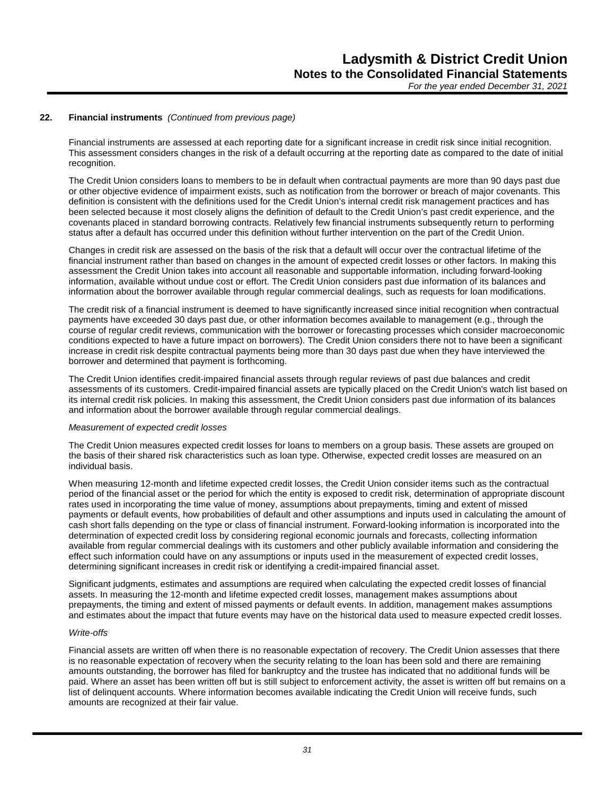# **22. Financial instruments** *(Continued from previous page)*

Financial instruments are assessed at each reporting date for a significant increase in credit risk since initial recognition. This assessment considers changes in the risk of a default occurring at the reporting date as compared to the date of initial recognition.

The Credit Union considers loans to members to be in default when contractual payments are more than 90 days past due or other objective evidence of impairment exists, such as notification from the borrower or breach of major covenants. This definition is consistent with the definitions used for the Credit Union's internal credit risk management practices and has been selected because it most closely aligns the definition of default to the Credit Union's past credit experience, and the covenants placed in standard borrowing contracts. Relatively few financial instruments subsequently return to performing status after a default has occurred under this definition without further intervention on the part of the Credit Union.

Changes in credit risk are assessed on the basis of the risk that a default will occur over the contractual lifetime of the financial instrument rather than based on changes in the amount of expected credit losses or other factors. In making this assessment the Credit Union takes into account all reasonable and supportable information, including forward-looking information, available without undue cost or effort. The Credit Union considers past due information of its balances and information about the borrower available through regular commercial dealings, such as requests for loan modifications.

The credit risk of a financial instrument is deemed to have significantly increased since initial recognition when contractual payments have exceeded 30 days past due, or other information becomes available to management (e.g., through the course of regular credit reviews, communication with the borrower or forecasting processes which consider macroeconomic conditions expected to have a future impact on borrowers). The Credit Union considers there not to have been a significant increase in credit risk despite contractual payments being more than 30 days past due when they have interviewed the borrower and determined that payment is forthcoming.

The Credit Union identifies credit-impaired financial assets through regular reviews of past due balances and credit assessments of its customers. Credit-impaired financial assets are typically placed on the Credit Union's watch list based on its internal credit risk policies. In making this assessment, the Credit Union considers past due information of its balances and information about the borrower available through regular commercial dealings.

# *Measurement of expected credit losses*

The Credit Union measures expected credit losses for loans to members on a group basis. These assets are grouped on the basis of their shared risk characteristics such as loan type. Otherwise, expected credit losses are measured on an individual basis.

When measuring 12-month and lifetime expected credit losses, the Credit Union consider items such as the contractual period of the financial asset or the period for which the entity is exposed to credit risk, determination of appropriate discount rates used in incorporating the time value of money, assumptions about prepayments, timing and extent of missed payments or default events, how probabilities of default and other assumptions and inputs used in calculating the amount of cash short falls depending on the type or class of financial instrument. Forward-looking information is incorporated into the determination of expected credit loss by considering regional economic journals and forecasts, collecting information available from regular commercial dealings with its customers and other publicly available information and considering the effect such information could have on any assumptions or inputs used in the measurement of expected credit losses, determining significant increases in credit risk or identifying a credit-impaired financial asset.

Significant judgments, estimates and assumptions are required when calculating the expected credit losses of financial assets. In measuring the 12-month and lifetime expected credit losses, management makes assumptions about prepayments, the timing and extent of missed payments or default events. In addition, management makes assumptions and estimates about the impact that future events may have on the historical data used to measure expected credit losses.

# *Write-offs*

Financial assets are written off when there is no reasonable expectation of recovery. The Credit Union assesses that there is no reasonable expectation of recovery when the security relating to the loan has been sold and there are remaining amounts outstanding, the borrower has filed for bankruptcy and the trustee has indicated that no additional funds will be paid. Where an asset has been written off but is still subject to enforcement activity, the asset is written off but remains on a list of delinquent accounts. Where information becomes available indicating the Credit Union will receive funds, such amounts are recognized at their fair value.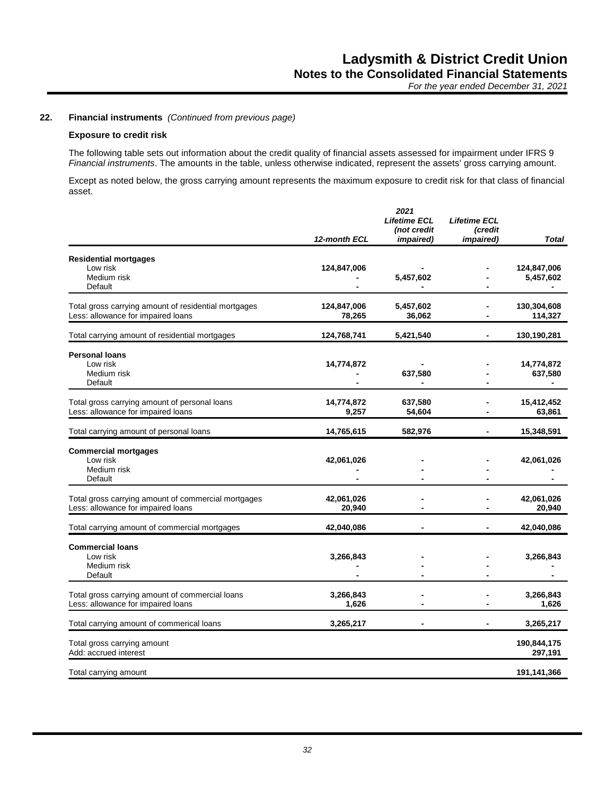# **22. Financial instruments** *(Continued from previous page)*

#### **Exposure to credit risk**

The following table sets out information about the credit quality of financial assets assessed for impairment under IFRS 9 *Financial instruments*. The amounts in the table, unless otherwise indicated, represent the assets' gross carrying amount.

Except as noted below, the gross carrying amount represents the maximum exposure to credit risk for that class of financial asset.

|                                                      | 12-month ECL | 2021<br><b>Lifetime ECL</b><br>(not credit<br><i>impaired)</i> | <b>Lifetime ECL</b><br>(credit<br><i>impaired</i> ) | <b>Total</b>   |
|------------------------------------------------------|--------------|----------------------------------------------------------------|-----------------------------------------------------|----------------|
|                                                      |              |                                                                |                                                     |                |
| <b>Residential mortgages</b><br>Low risk             | 124,847,006  |                                                                |                                                     | 124,847,006    |
| Medium risk                                          |              | 5,457,602                                                      |                                                     | 5,457,602      |
| Default                                              |              |                                                                |                                                     |                |
| Total gross carrying amount of residential mortgages | 124,847,006  | 5,457,602                                                      |                                                     | 130,304,608    |
| Less: allowance for impaired loans                   | 78,265       | 36,062                                                         | $\blacksquare$                                      | 114,327        |
| Total carrying amount of residential mortgages       | 124,768,741  | 5,421,540                                                      | $\blacksquare$                                      | 130,190,281    |
| <b>Personal loans</b>                                |              |                                                                |                                                     |                |
| Low risk                                             | 14,774,872   |                                                                |                                                     | 14,774,872     |
| Medium risk                                          |              | 637,580                                                        |                                                     | 637,580        |
| Default                                              |              |                                                                |                                                     | $\blacksquare$ |
| Total gross carrying amount of personal loans        | 14,774,872   | 637,580                                                        |                                                     | 15,412,452     |
| Less: allowance for impaired loans                   | 9,257        | 54,604                                                         |                                                     | 63,861         |
| Total carrying amount of personal loans              | 14,765,615   | 582,976                                                        |                                                     | 15,348,591     |
| <b>Commercial mortgages</b>                          |              |                                                                |                                                     |                |
| Low risk                                             | 42,061,026   |                                                                |                                                     | 42,061,026     |
| Medium risk                                          |              |                                                                |                                                     |                |
| Default                                              |              |                                                                |                                                     |                |
| Total gross carrying amount of commercial mortgages  | 42,061,026   |                                                                |                                                     | 42,061,026     |
| Less: allowance for impaired loans                   | 20,940       |                                                                |                                                     | 20,940         |
| Total carrying amount of commercial mortgages        | 42,040,086   |                                                                |                                                     | 42,040,086     |
| <b>Commercial loans</b>                              |              |                                                                |                                                     |                |
| Low risk                                             | 3,266,843    |                                                                |                                                     | 3,266,843      |
| Medium risk                                          |              |                                                                |                                                     |                |
| Default                                              |              |                                                                |                                                     |                |
| Total gross carrying amount of commercial loans      | 3,266,843    |                                                                |                                                     | 3,266,843      |
| Less: allowance for impaired loans                   | 1,626        |                                                                |                                                     | 1,626          |
| Total carrying amount of commerical loans            | 3,265,217    |                                                                |                                                     | 3,265,217      |
| Total gross carrying amount                          |              |                                                                |                                                     | 190,844,175    |
| Add: accrued interest                                |              |                                                                |                                                     | 297,191        |
| Total carrying amount                                |              |                                                                |                                                     | 191,141,366    |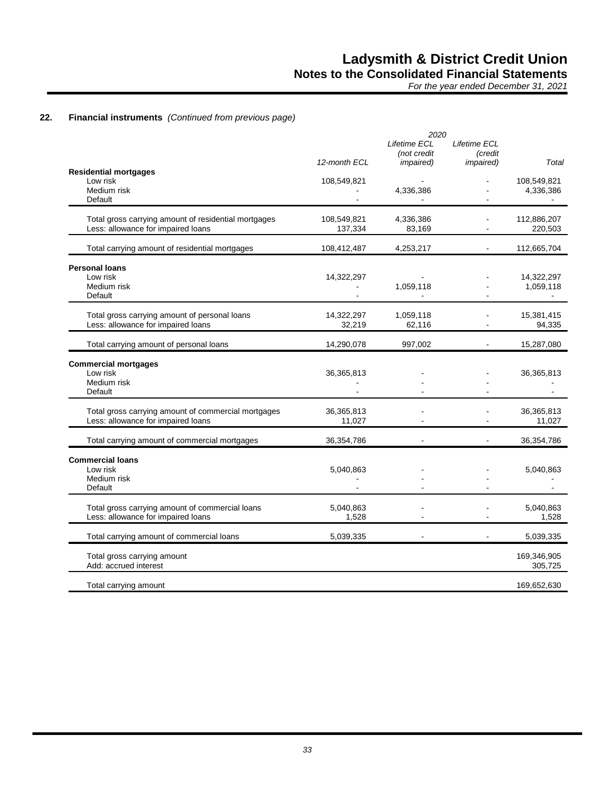**Notes to the Consolidated Financial Statements**

*For the year ended December 31, 2021*

# **22. Financial instruments** *(Continued from previous page)*

|                                                      |              | 2020              |                   |             |
|------------------------------------------------------|--------------|-------------------|-------------------|-------------|
|                                                      |              | Lifetime ECL      | Lifetime ECL      |             |
|                                                      |              | (not credit       | (credit           |             |
|                                                      |              |                   |                   |             |
|                                                      | 12-month ECL | <i>impaired</i> ) | <i>impaired</i> ) | Total       |
| <b>Residential mortgages</b>                         |              |                   |                   |             |
| Low risk                                             | 108,549,821  |                   |                   | 108,549,821 |
| Medium risk                                          |              | 4,336,386         |                   | 4,336,386   |
| Default                                              |              |                   |                   |             |
|                                                      |              |                   |                   |             |
|                                                      |              |                   |                   |             |
| Total gross carrying amount of residential mortgages | 108,549,821  | 4,336,386         | $\blacksquare$    | 112,886,207 |
| Less: allowance for impaired loans                   | 137,334      | 83,169            |                   | 220,503     |
|                                                      |              |                   |                   |             |
| Total carrying amount of residential mortgages       | 108,412,487  | 4,253,217         |                   | 112,665,704 |
|                                                      |              |                   |                   |             |
| <b>Personal loans</b>                                |              |                   |                   |             |
|                                                      |              |                   |                   |             |
| Low risk                                             | 14,322,297   |                   |                   | 14,322,297  |
| Medium risk                                          |              | 1,059,118         |                   | 1,059,118   |
| Default                                              |              |                   |                   |             |
|                                                      |              |                   |                   |             |
| Total gross carrying amount of personal loans        | 14,322,297   | 1,059,118         |                   | 15,381,415  |
|                                                      |              |                   |                   |             |
| Less: allowance for impaired loans                   | 32,219       | 62,116            |                   | 94,335      |
|                                                      |              |                   |                   |             |
| Total carrying amount of personal loans              | 14,290,078   | 997,002           |                   | 15,287,080  |
|                                                      |              |                   |                   |             |
| <b>Commercial mortgages</b>                          |              |                   |                   |             |
|                                                      |              |                   |                   |             |
| Low risk                                             | 36,365,813   |                   |                   | 36,365,813  |
| Medium risk                                          |              |                   |                   |             |
| Default                                              |              |                   |                   |             |
|                                                      |              |                   |                   |             |
| Total gross carrying amount of commercial mortgages  | 36,365,813   |                   |                   | 36,365,813  |
| Less: allowance for impaired loans                   | 11,027       |                   |                   | 11,027      |
|                                                      |              |                   |                   |             |
|                                                      |              |                   |                   |             |
| Total carrying amount of commercial mortgages        | 36,354,786   | $\blacksquare$    |                   | 36,354,786  |
|                                                      |              |                   |                   |             |
| <b>Commercial loans</b>                              |              |                   |                   |             |
| Low risk                                             | 5,040,863    |                   |                   | 5,040,863   |
|                                                      |              |                   |                   |             |
| Medium risk                                          |              |                   |                   |             |
| Default                                              |              |                   |                   |             |
|                                                      |              |                   |                   |             |
| Total gross carrying amount of commercial loans      | 5,040,863    |                   |                   | 5,040,863   |
| Less: allowance for impaired loans                   | 1,528        |                   |                   | 1,528       |
|                                                      |              |                   |                   |             |
|                                                      |              |                   |                   |             |
| Total carrying amount of commercial loans            | 5,039,335    |                   |                   | 5,039,335   |
|                                                      |              |                   |                   |             |
| Total gross carrying amount                          |              |                   |                   | 169,346,905 |
| Add: accrued interest                                |              |                   |                   | 305,725     |
|                                                      |              |                   |                   |             |
|                                                      |              |                   |                   |             |
| Total carrying amount                                |              |                   |                   | 169,652,630 |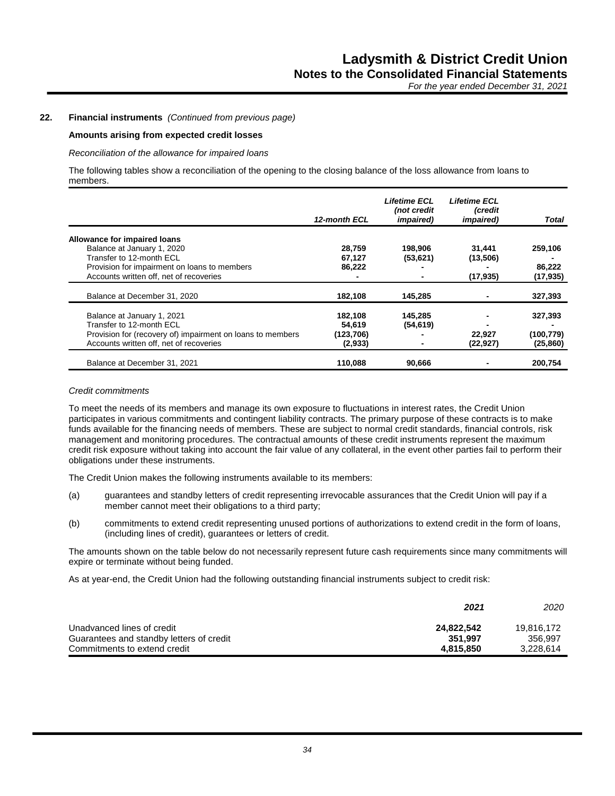# **22. Financial instruments** *(Continued from previous page)*

#### **Amounts arising from expected credit losses**

#### *Reconciliation of the allowance for impaired loans*

The following tables show a reconciliation of the opening to the closing balance of the loss allowance from loans to members.

|                                                            | 12-month ECL | <b>Lifetime ECL</b><br>(not credit<br><i>impaired</i> ) | <b>Lifetime ECL</b><br>(credit<br><i>impaired</i> ) | Total      |
|------------------------------------------------------------|--------------|---------------------------------------------------------|-----------------------------------------------------|------------|
| Allowance for impaired loans                               |              |                                                         |                                                     |            |
| Balance at January 1, 2020                                 | 28,759       | 198,906                                                 | 31,441                                              | 259,106    |
| Transfer to 12-month ECL                                   | 67,127       | (53, 621)                                               | (13,506)                                            |            |
| Provision for impairment on loans to members               | 86,222       |                                                         |                                                     | 86,222     |
| Accounts written off, net of recoveries                    |              |                                                         | (17, 935)                                           | (17, 935)  |
| Balance at December 31, 2020                               | 182,108      | 145,285                                                 |                                                     | 327,393    |
| Balance at January 1, 2021                                 | 182,108      | 145,285                                                 |                                                     | 327,393    |
| Transfer to 12-month ECL                                   | 54,619       | (54, 619)                                               |                                                     |            |
| Provision for (recovery of) impairment on loans to members | (123, 706)   |                                                         | 22,927                                              | (100, 779) |
| Accounts written off, net of recoveries                    | (2,933)      |                                                         | (22, 927)                                           | (25, 860)  |
| Balance at December 31, 2021                               | 110,088      | 90.666                                                  |                                                     | 200.754    |

#### *Credit commitments*

To meet the needs of its members and manage its own exposure to fluctuations in interest rates, the Credit Union participates in various commitments and contingent liability contracts. The primary purpose of these contracts is to make funds available for the financing needs of members. These are subject to normal credit standards, financial controls, risk management and monitoring procedures. The contractual amounts of these credit instruments represent the maximum credit risk exposure without taking into account the fair value of any collateral, in the event other parties fail to perform their obligations under these instruments.

The Credit Union makes the following instruments available to its members:

- (a) guarantees and standby letters of credit representing irrevocable assurances that the Credit Union will pay if a member cannot meet their obligations to a third party;
- (b) commitments to extend credit representing unused portions of authorizations to extend credit in the form of loans, (including lines of credit), guarantees or letters of credit.

The amounts shown on the table below do not necessarily represent future cash requirements since many commitments will expire or terminate without being funded.

As at year-end, the Credit Union had the following outstanding financial instruments subject to credit risk:

|                                                                        | 2021                  | 2020                  |
|------------------------------------------------------------------------|-----------------------|-----------------------|
| Unadvanced lines of credit<br>Guarantees and standby letters of credit | 24,822,542<br>351.997 | 19.816.172<br>356.997 |
| Commitments to extend credit                                           | 4.815.850             | 3.228.614             |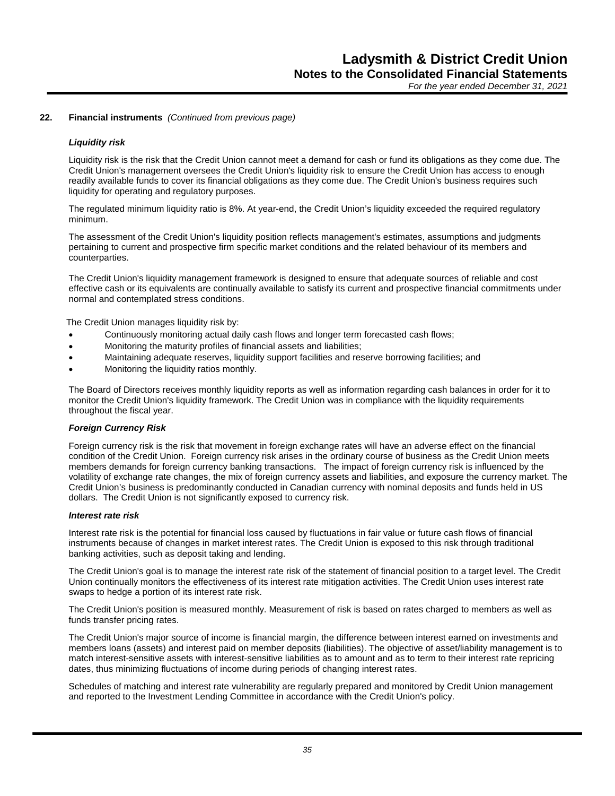# **22. Financial instruments** *(Continued from previous page)*

#### *Liquidity risk*

Liquidity risk is the risk that the Credit Union cannot meet a demand for cash or fund its obligations as they come due. The Credit Union's management oversees the Credit Union's liquidity risk to ensure the Credit Union has access to enough readily available funds to cover its financial obligations as they come due. The Credit Union's business requires such liquidity for operating and regulatory purposes.

The regulated minimum liquidity ratio is 8%. At year-end, the Credit Union's liquidity exceeded the required regulatory minimum.

The assessment of the Credit Union's liquidity position reflects management's estimates, assumptions and judgments pertaining to current and prospective firm specific market conditions and the related behaviour of its members and counterparties.

The Credit Union's liquidity management framework is designed to ensure that adequate sources of reliable and cost effective cash or its equivalents are continually available to satisfy its current and prospective financial commitments under normal and contemplated stress conditions.

The Credit Union manages liquidity risk by:

- Continuously monitoring actual daily cash flows and longer term forecasted cash flows;
- Monitoring the maturity profiles of financial assets and liabilities;
- Maintaining adequate reserves, liquidity support facilities and reserve borrowing facilities; and
- Monitoring the liquidity ratios monthly.

The Board of Directors receives monthly liquidity reports as well as information regarding cash balances in order for it to monitor the Credit Union's liquidity framework. The Credit Union was in compliance with the liquidity requirements throughout the fiscal year.

#### *Foreign Currency Risk*

Foreign currency risk is the risk that movement in foreign exchange rates will have an adverse effect on the financial condition of the Credit Union. Foreign currency risk arises in the ordinary course of business as the Credit Union meets members demands for foreign currency banking transactions. The impact of foreign currency risk is influenced by the volatility of exchange rate changes, the mix of foreign currency assets and liabilities, and exposure the currency market. The Credit Union's business is predominantly conducted in Canadian currency with nominal deposits and funds held in US dollars. The Credit Union is not significantly exposed to currency risk.

# *Interest rate risk*

Interest rate risk is the potential for financial loss caused by fluctuations in fair value or future cash flows of financial instruments because of changes in market interest rates. The Credit Union is exposed to this risk through traditional banking activities, such as deposit taking and lending.

The Credit Union's goal is to manage the interest rate risk of the statement of financial position to a target level. The Credit Union continually monitors the effectiveness of its interest rate mitigation activities. The Credit Union uses interest rate swaps to hedge a portion of its interest rate risk.

The Credit Union's position is measured monthly. Measurement of risk is based on rates charged to members as well as funds transfer pricing rates.

The Credit Union's major source of income is financial margin, the difference between interest earned on investments and members loans (assets) and interest paid on member deposits (liabilities). The objective of asset/liability management is to match interest-sensitive assets with interest-sensitive liabilities as to amount and as to term to their interest rate repricing dates, thus minimizing fluctuations of income during periods of changing interest rates.

Schedules of matching and interest rate vulnerability are regularly prepared and monitored by Credit Union management and reported to the Investment Lending Committee in accordance with the Credit Union's policy.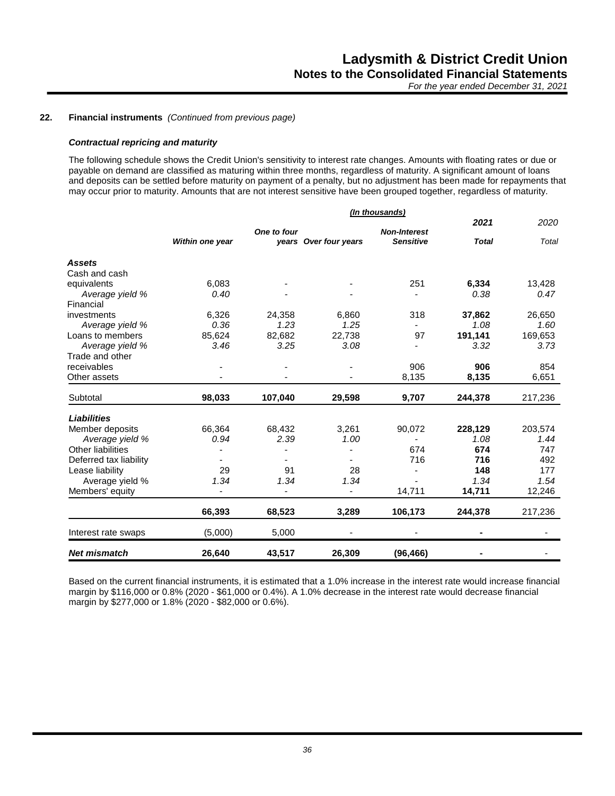# **22. Financial instruments** *(Continued from previous page)*

#### *Contractual repricing and maturity*

The following schedule shows the Credit Union's sensitivity to interest rate changes. Amounts with floating rates or due or payable on demand are classified as maturing within three months, regardless of maturity. A significant amount of loans and deposits can be settled before maturity on payment of a penalty, but no adjustment has been made for repayments that may occur prior to maturity. Amounts that are not interest sensitive have been grouped together, regardless of maturity.

|                          |                 |             |                       |                          | 2021         | 2020    |
|--------------------------|-----------------|-------------|-----------------------|--------------------------|--------------|---------|
|                          |                 | One to four |                       | <b>Non-Interest</b>      |              |         |
|                          | Within one year |             | years Over four years | <b>Sensitive</b>         | <b>Total</b> | Total   |
| <b>Assets</b>            |                 |             |                       |                          |              |         |
| Cash and cash            |                 |             |                       |                          |              |         |
| equivalents              | 6,083           |             |                       | 251                      | 6,334        | 13,428  |
| Average yield %          | 0.40            |             |                       |                          | 0.38         | 0.47    |
| Financial                |                 |             |                       |                          |              |         |
| investments              | 6,326           | 24,358      | 6,860                 | 318                      | 37,862       | 26,650  |
| Average yield %          | 0.36            | 1.23        | 1.25                  | $\overline{\phantom{0}}$ | 1.08         | 1.60    |
| Loans to members         | 85,624          | 82,682      | 22,738                | 97                       | 191,141      | 169,653 |
| Average yield %          | 3.46            | 3.25        | 3.08                  |                          | 3.32         | 3.73    |
| Trade and other          |                 |             |                       |                          |              |         |
| receivables              |                 |             |                       | 906                      | 906          | 854     |
| Other assets             |                 |             |                       | 8,135                    | 8,135        | 6,651   |
| Subtotal                 | 98,033          | 107,040     | 29,598                | 9,707                    | 244,378      | 217,236 |
| <b>Liabilities</b>       |                 |             |                       |                          |              |         |
| Member deposits          | 66.364          | 68,432      | 3,261                 | 90,072                   | 228,129      | 203,574 |
| Average yield %          | 0.94            | 2.39        | 1.00                  |                          | 1.08         | 1.44    |
| <b>Other liabilities</b> |                 |             |                       | 674                      | 674          | 747     |
| Deferred tax liability   |                 |             |                       | 716                      | 716          | 492     |
| Lease liability          | 29              | 91          | 28                    |                          | 148          | 177     |
| Average yield %          | 1.34            | 1.34        | 1.34                  |                          | 1.34         | 1.54    |
| Members' equity          |                 |             |                       | 14,711                   | 14,711       | 12,246  |
|                          | 66,393          | 68,523      | 3,289                 | 106,173                  | 244,378      | 217,236 |
| Interest rate swaps      | (5,000)         | 5,000       |                       |                          |              |         |
| <b>Net mismatch</b>      | 26,640          | 43,517      | 26,309                | (96, 466)                |              |         |

Based on the current financial instruments, it is estimated that a 1.0% increase in the interest rate would increase financial margin by \$116,000 or 0.8% (2020 - \$61,000 or 0.4%). A 1.0% decrease in the interest rate would decrease financial margin by \$277,000 or 1.8% (2020 - \$82,000 or 0.6%).